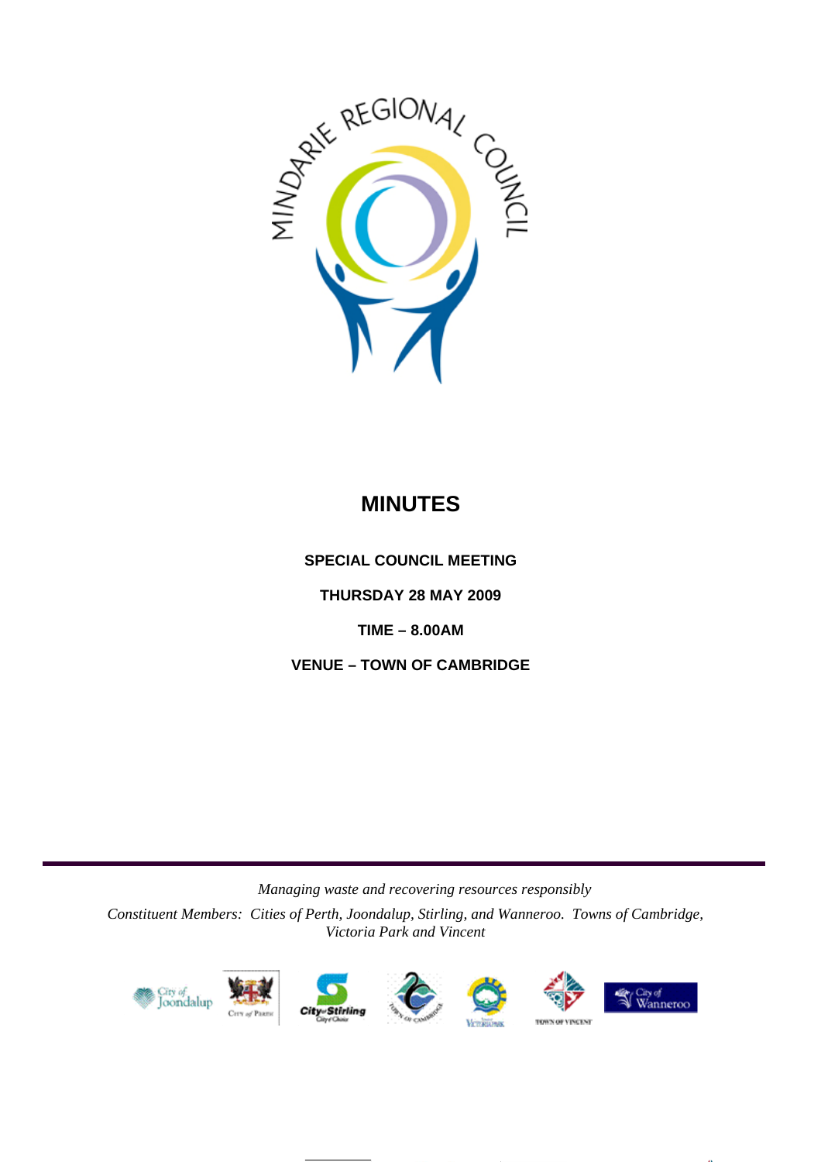

# **MINUTES**

**SPECIAL COUNCIL MEETING** 

**THURSDAY 28 MAY 2009** 

**TIME – 8.00AM** 

**VENUE – TOWN OF CAMBRIDGE** 

*Managing waste and recovering resources responsibly* 

*Constituent Members: Cities of Perth, Joondalup, Stirling, and Wanneroo. Towns of Cambridge, Victoria Park and Vincent*











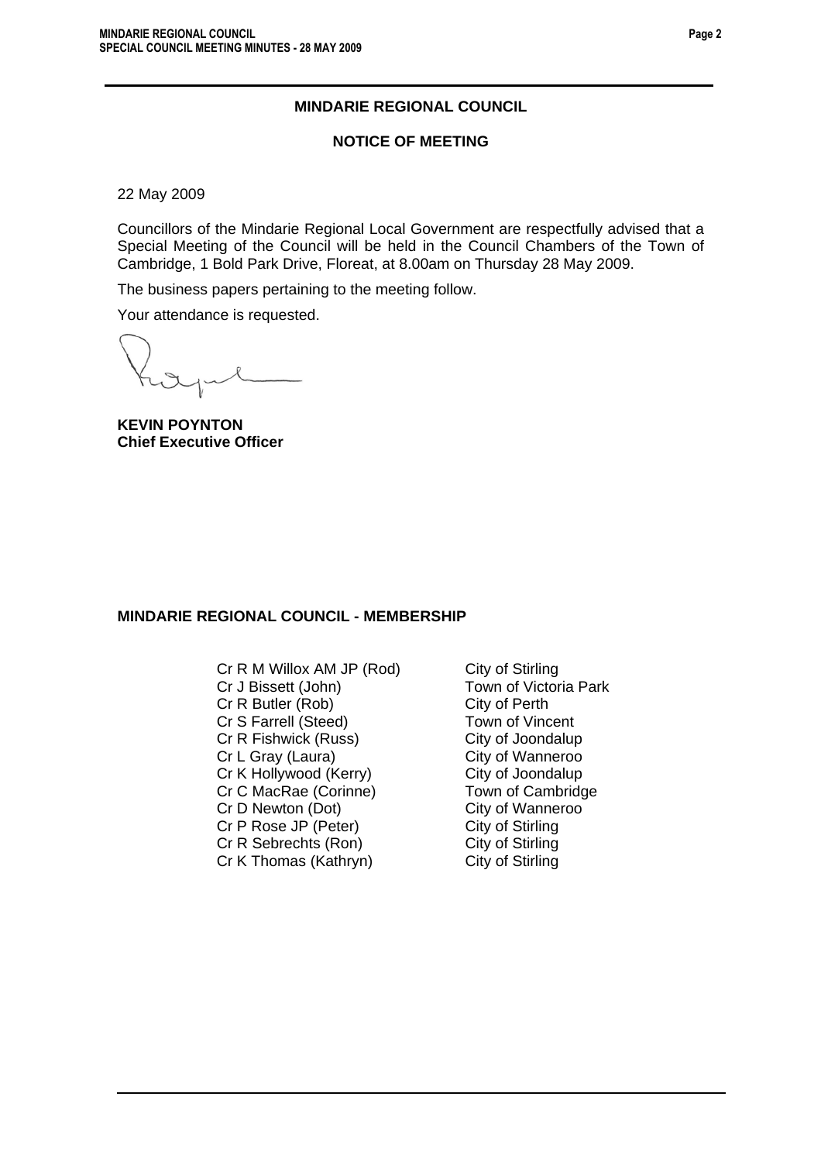### **MINDARIE REGIONAL COUNCIL**

### **NOTICE OF MEETING**

22 May 2009

Councillors of the Mindarie Regional Local Government are respectfully advised that a Special Meeting of the Council will be held in the Council Chambers of the Town of Cambridge, 1 Bold Park Drive, Floreat, at 8.00am on Thursday 28 May 2009.

The business papers pertaining to the meeting follow.

Your attendance is requested.

**KEVIN POYNTON Chief Executive Officer** 

### **MINDARIE REGIONAL COUNCIL - MEMBERSHIP**

Cr R M Willox AM JP (Rod) City of Stirling Cr J Bissett (John) Town of Victoria Park Cr R Butler (Rob) Cr S Farrell (Steed) Town of Vincent Cr R Fishwick (Russ) City of Joondalup Cr L Gray (Laura) City of Wanneroo Cr K Hollywood (Kerry) City of Joondalup Cr C MacRae (Corinne) Town of Cambridge Cr D Newton (Dot) City of Wanneroo Cr P Rose JP (Peter) City of Stirling<br>
Cr R Sebrechts (Ron) City of Stirling Cr R Sebrechts (Ron) Cr K Thomas (Kathryn) City of Stirling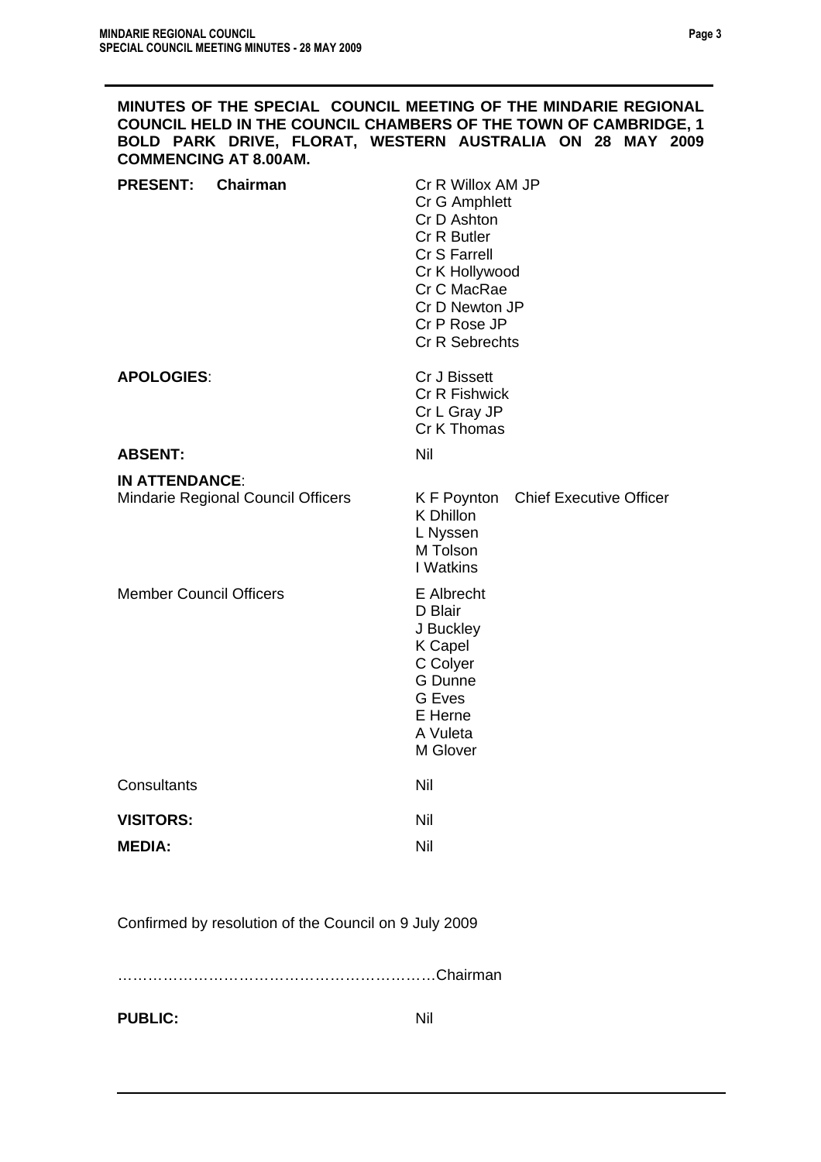| MINUTES OF THE SPECIAL COUNCIL MEETING OF THE MINDARIE REGIONAL<br><b>COMMENCING AT 8.00AM.</b> | <b>COUNCIL HELD IN THE COUNCIL CHAMBERS OF THE TOWN OF CAMBRIDGE, 1</b><br>BOLD PARK DRIVE, FLORAT, WESTERN AUSTRALIA ON 28 MAY 2009                                  |
|-------------------------------------------------------------------------------------------------|-----------------------------------------------------------------------------------------------------------------------------------------------------------------------|
| <b>PRESENT:</b><br>Chairman                                                                     | Cr R Willox AM JP<br>Cr G Amphlett<br>Cr D Ashton<br>Cr R Butler<br>Cr S Farrell<br>Cr K Hollywood<br>Cr C MacRae<br>Cr D Newton JP<br>Cr P Rose JP<br>Cr R Sebrechts |
| <b>APOLOGIES:</b>                                                                               | Cr J Bissett<br><b>Cr R Fishwick</b><br>Cr L Gray JP<br>Cr K Thomas                                                                                                   |
| <b>ABSENT:</b>                                                                                  | Nil                                                                                                                                                                   |
| <b>IN ATTENDANCE:</b><br>Mindarie Regional Council Officers                                     | K F Poynton Chief Executive Officer<br>K Dhillon<br>L Nyssen<br>M Tolson<br>I Watkins                                                                                 |
| <b>Member Council Officers</b>                                                                  | E Albrecht<br>D Blair<br>J Buckley<br><b>K</b> Capel<br>C Colyer<br>G Dunne<br><b>G</b> Eves<br>E Herne<br>A Vuleta<br>M Glover                                       |
| Consultants                                                                                     | Nil                                                                                                                                                                   |
| <b>VISITORS:</b><br><b>MEDIA:</b>                                                               | Nil<br>Nil                                                                                                                                                            |

Confirmed by resolution of the Council on 9 July 2009

………………………………………………………Chairman

**PUBLIC:** Nil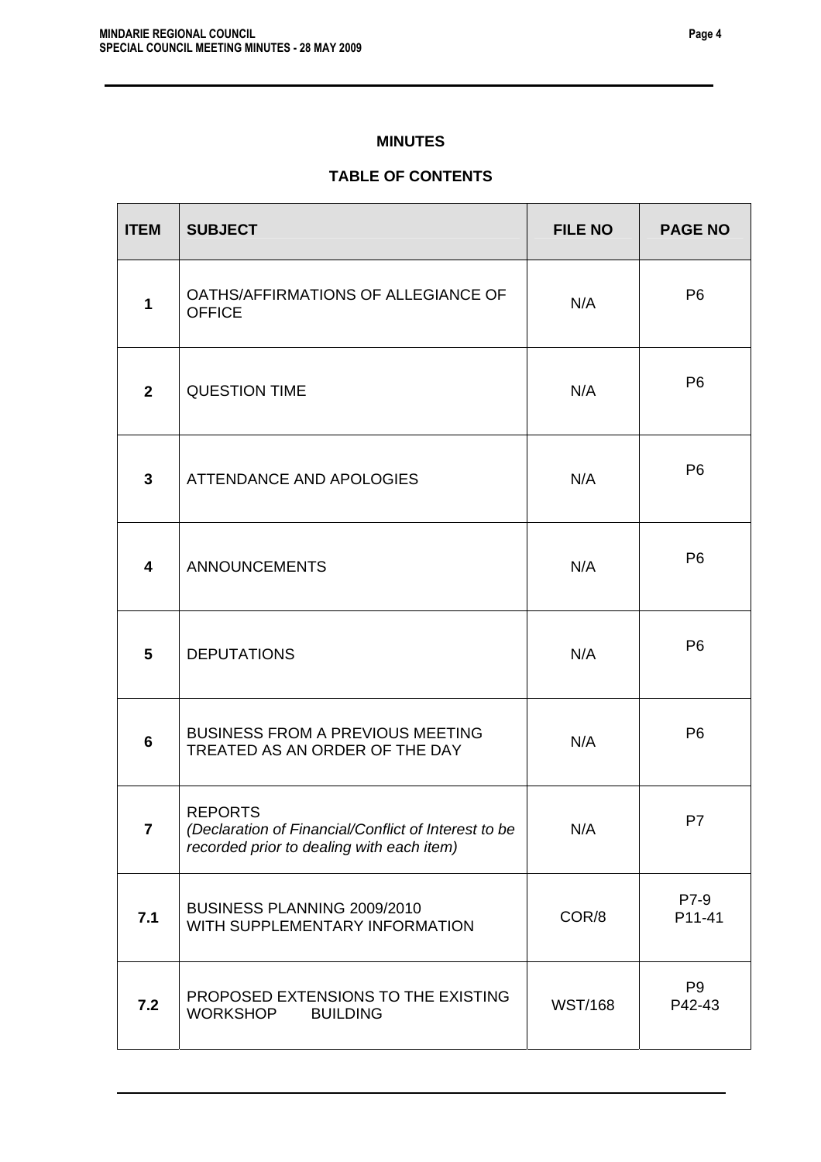### **MINUTES**

# **TABLE OF CONTENTS**

| <b>ITEM</b>             | <b>SUBJECT</b>                                                                                                      | <b>FILE NO</b> | <b>PAGE NO</b>           |
|-------------------------|---------------------------------------------------------------------------------------------------------------------|----------------|--------------------------|
| 1                       | OATHS/AFFIRMATIONS OF ALLEGIANCE OF<br><b>OFFICE</b>                                                                | N/A            | P <sub>6</sub>           |
| $\mathbf{2}$            | <b>QUESTION TIME</b>                                                                                                | N/A            | P <sub>6</sub>           |
| 3                       | ATTENDANCE AND APOLOGIES                                                                                            | N/A            | P <sub>6</sub>           |
| 4                       | <b>ANNOUNCEMENTS</b>                                                                                                | N/A            | P <sub>6</sub>           |
| 5                       | <b>DEPUTATIONS</b>                                                                                                  | N/A            | P <sub>6</sub>           |
| 6                       | <b>BUSINESS FROM A PREVIOUS MEETING</b><br>TREATED AS AN ORDER OF THE DAY                                           | N/A            | P <sub>6</sub>           |
| $\overline{\mathbf{7}}$ | <b>REPORTS</b><br>(Declaration of Financial/Conflict of Interest to be<br>recorded prior to dealing with each item) | N/A            | P <sub>7</sub>           |
| 7.1                     | BUSINESS PLANNING 2009/2010<br>WITH SUPPLEMENTARY INFORMATION                                                       | COR/8          | P7-9<br>P11-41           |
| 7.2                     | PROPOSED EXTENSIONS TO THE EXISTING<br><b>WORKSHOP</b><br><b>BUILDING</b>                                           | <b>WST/168</b> | P <sub>9</sub><br>P42-43 |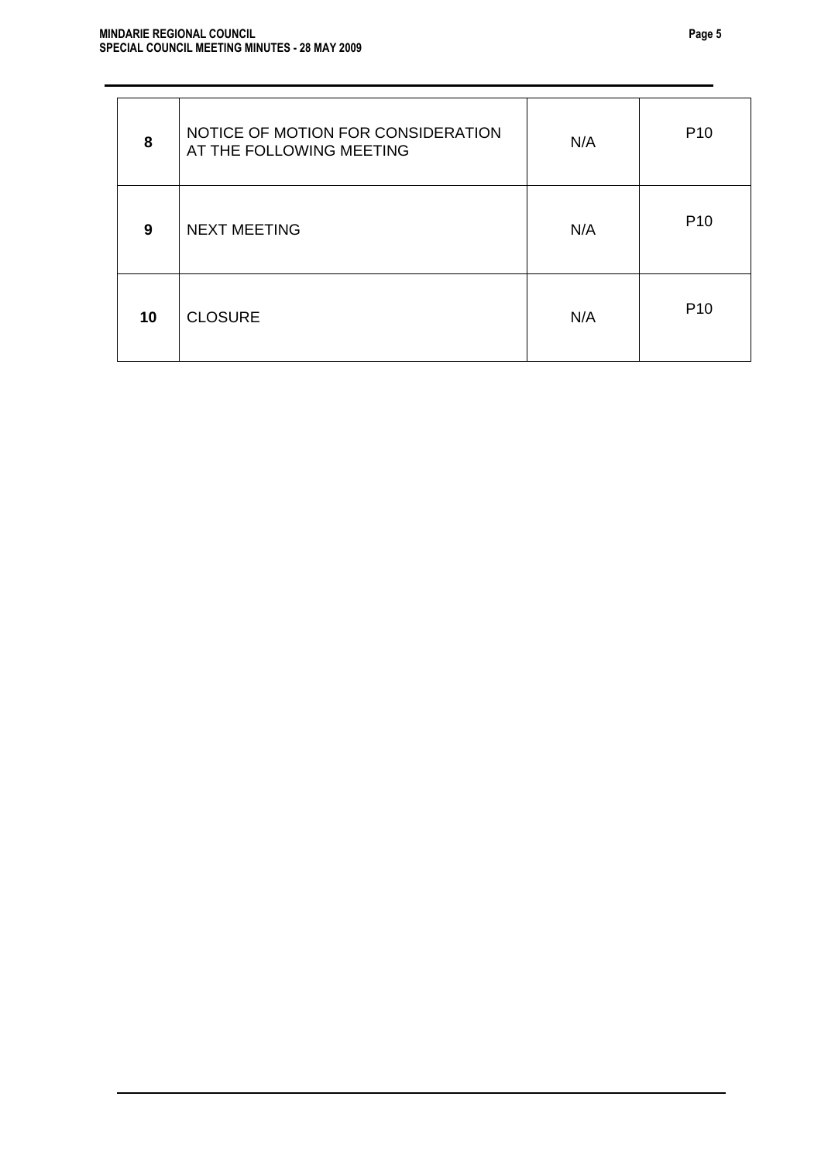| 8  | NOTICE OF MOTION FOR CONSIDERATION<br>AT THE FOLLOWING MEETING | N/A | P <sub>10</sub> |
|----|----------------------------------------------------------------|-----|-----------------|
| 9  | <b>NEXT MEETING</b>                                            | N/A | P <sub>10</sub> |
| 10 | <b>CLOSURE</b>                                                 | N/A | P <sub>10</sub> |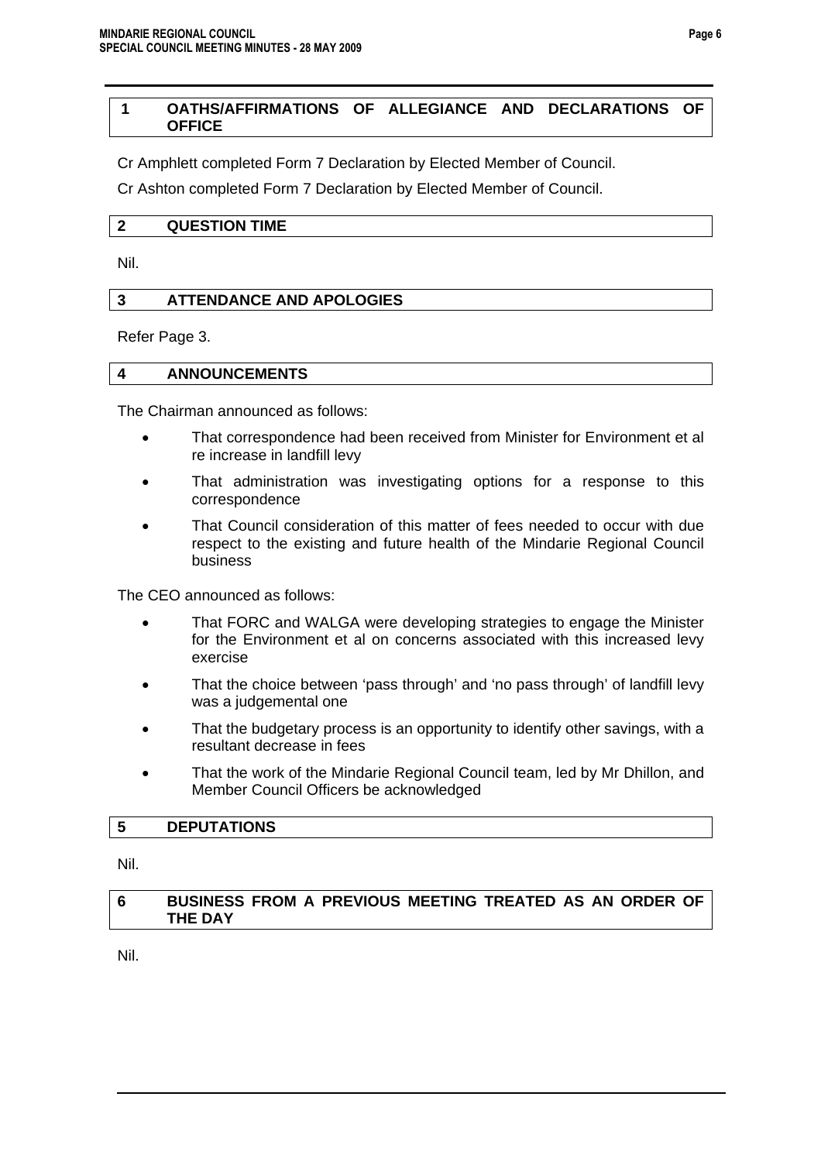### **1 OATHS/AFFIRMATIONS OF ALLEGIANCE AND DECLARATIONS OF OFFICE**

Cr Amphlett completed Form 7 Declaration by Elected Member of Council.

Cr Ashton completed Form 7 Declaration by Elected Member of Council.

### **2 QUESTION TIME**

Nil.

### **3 ATTENDANCE AND APOLOGIES**

Refer Page 3.

### **4 ANNOUNCEMENTS**

The Chairman announced as follows:

- That correspondence had been received from Minister for Environment et al re increase in landfill levy
- That administration was investigating options for a response to this correspondence
- That Council consideration of this matter of fees needed to occur with due respect to the existing and future health of the Mindarie Regional Council business

The CEO announced as follows:

- That FORC and WALGA were developing strategies to engage the Minister for the Environment et al on concerns associated with this increased levy exercise
- That the choice between 'pass through' and 'no pass through' of landfill levy was a judgemental one
- That the budgetary process is an opportunity to identify other savings, with a resultant decrease in fees
- That the work of the Mindarie Regional Council team, led by Mr Dhillon, and Member Council Officers be acknowledged

### **5 DEPUTATIONS**

Nil.

### **6 BUSINESS FROM A PREVIOUS MEETING TREATED AS AN ORDER OF THE DAY**

Nil.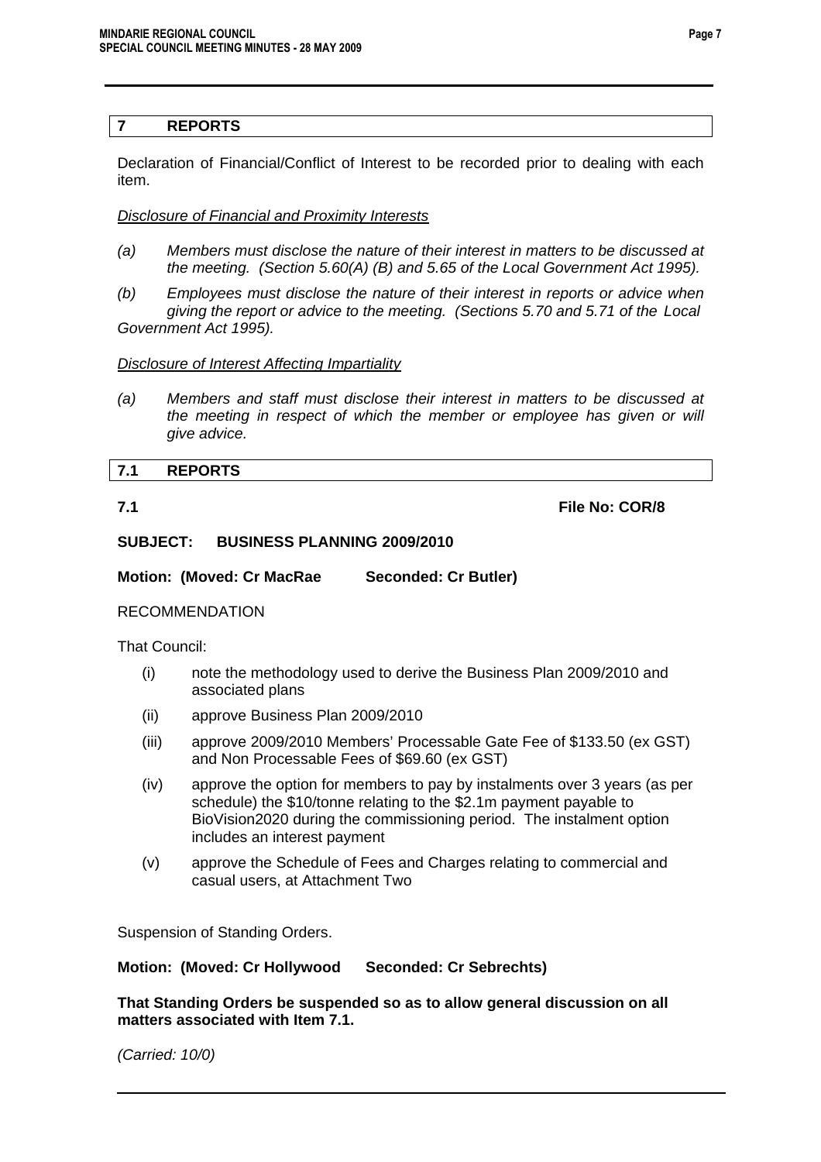### **7 REPORTS**

Declaration of Financial/Conflict of Interest to be recorded prior to dealing with each item.

### *Disclosure of Financial and Proximity Interests*

- *(a) Members must disclose the nature of their interest in matters to be discussed at the meeting. (Section 5.60(A) (B) and 5.65 of the Local Government Act 1995).*
- *(b) Employees must disclose the nature of their interest in reports or advice when giving the report or advice to the meeting. (Sections 5.70 and 5.71 of the Local Government Act 1995).*

*Disclosure of Interest Affecting Impartiality*

*(a) Members and staff must disclose their interest in matters to be discussed at the meeting in respect of which the member or employee has given or will give advice.* 

## **7.1 REPORTS**

**7.1 File No: COR/8** 

### **SUBJECT: BUSINESS PLANNING 2009/2010**

**Motion: (Moved: Cr MacRae Seconded: Cr Butler)** 

### RECOMMENDATION

That Council:

- (i) note the methodology used to derive the Business Plan 2009/2010 and associated plans
- (ii) approve Business Plan 2009/2010
- (iii) approve 2009/2010 Members' Processable Gate Fee of \$133.50 (ex GST) and Non Processable Fees of \$69.60 (ex GST)
- (iv) approve the option for members to pay by instalments over 3 years (as per schedule) the \$10/tonne relating to the \$2.1m payment payable to BioVision2020 during the commissioning period. The instalment option includes an interest payment
- (v) approve the Schedule of Fees and Charges relating to commercial and casual users, at Attachment Two

Suspension of Standing Orders.

### **Motion: (Moved: Cr Hollywood Seconded: Cr Sebrechts)**

**That Standing Orders be suspended so as to allow general discussion on all matters associated with Item 7.1.** 

*(Carried: 10/0)*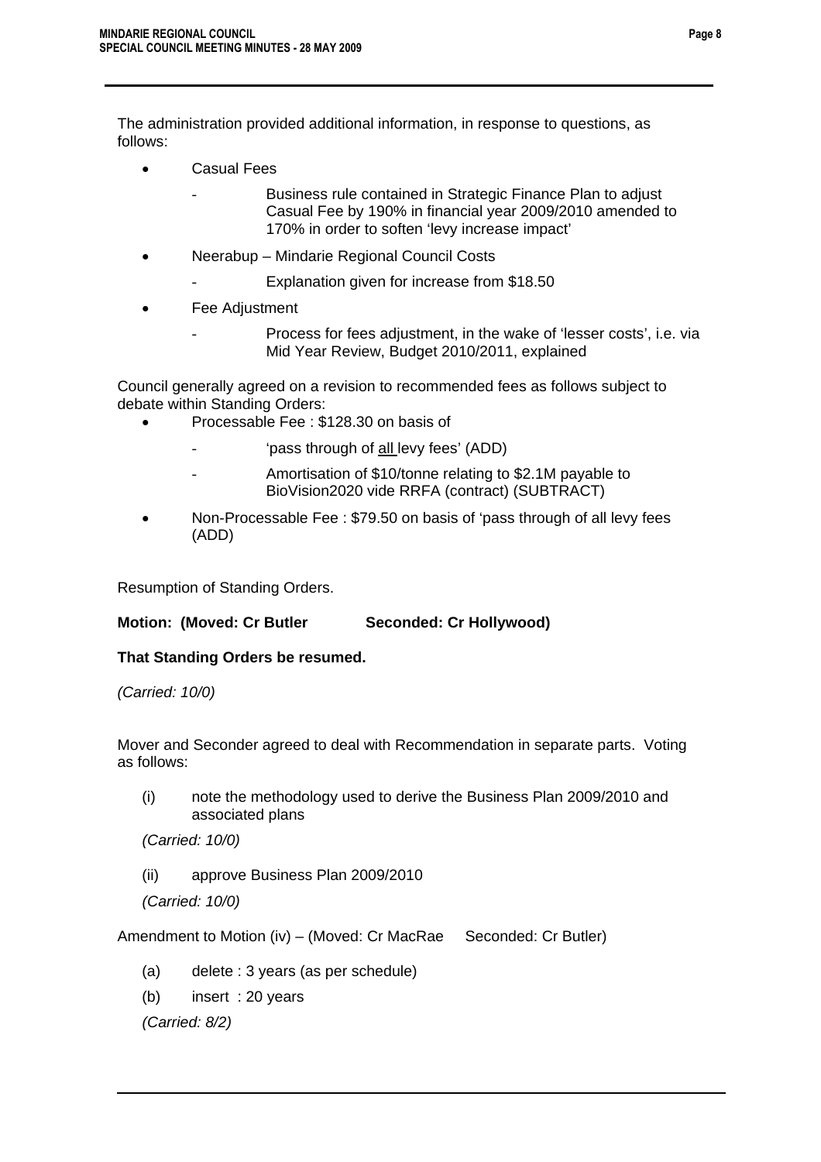The administration provided additional information, in response to questions, as follows:

- Casual Fees
	- Business rule contained in Strategic Finance Plan to adjust Casual Fee by 190% in financial year 2009/2010 amended to 170% in order to soften 'levy increase impact'
- Neerabup Mindarie Regional Council Costs
	- Explanation given for increase from \$18.50
- Fee Adjustment
	- Process for fees adjustment, in the wake of 'lesser costs', i.e. via Mid Year Review, Budget 2010/2011, explained

Council generally agreed on a revision to recommended fees as follows subject to debate within Standing Orders:

- Processable Fee : \$128.30 on basis of
	- 'pass through of all levy fees' (ADD)
	- Amortisation of \$10/tonne relating to \$2.1M payable to BioVision2020 vide RRFA (contract) (SUBTRACT)
- Non-Processable Fee : \$79.50 on basis of 'pass through of all levy fees (ADD)

Resumption of Standing Orders.

### **Motion: (Moved: Cr Butler Seconded: Cr Hollywood)**

### **That Standing Orders be resumed.**

*(Carried: 10/0)* 

Mover and Seconder agreed to deal with Recommendation in separate parts. Voting as follows:

(i) note the methodology used to derive the Business Plan 2009/2010 and associated plans

*(Carried: 10/0)* 

(ii) approve Business Plan 2009/2010

*(Carried: 10/0)* 

Amendment to Motion (iv) – (Moved: Cr MacRae Seconded: Cr Butler)

- (a) delete : 3 years (as per schedule)
- (b) insert : 20 years

*(Carried: 8/2)*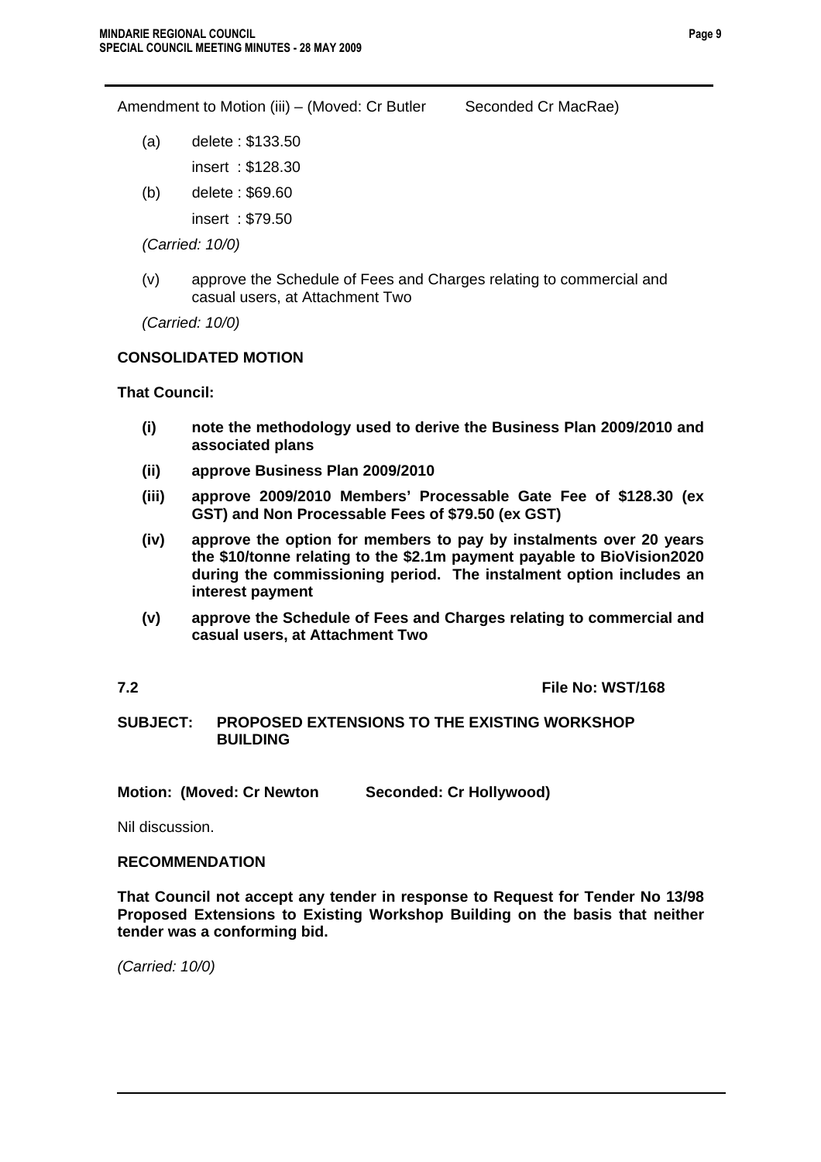**Page 9**

Amendment to Motion (iii) – (Moved: Cr Butler Seconded Cr MacRae)

- (a) delete : \$133.50 insert : \$128.30
- (b) delete : \$69.60

insert : \$79.50

*(Carried: 10/0)* 

(v) approve the Schedule of Fees and Charges relating to commercial and casual users, at Attachment Two

*(Carried: 10/0)* 

### **CONSOLIDATED MOTION**

**That Council:** 

- **(i) note the methodology used to derive the Business Plan 2009/2010 and associated plans**
- **(ii) approve Business Plan 2009/2010**
- **(iii) approve 2009/2010 Members' Processable Gate Fee of \$128.30 (ex GST) and Non Processable Fees of \$79.50 (ex GST)**
- **(iv) approve the option for members to pay by instalments over 20 years the \$10/tonne relating to the \$2.1m payment payable to BioVision2020 during the commissioning period. The instalment option includes an interest payment**
- **(v) approve the Schedule of Fees and Charges relating to commercial and casual users, at Attachment Two**

**7.2 File No: WST/168** 

### **SUBJECT: PROPOSED EXTENSIONS TO THE EXISTING WORKSHOP BUILDING**

**Motion: (Moved: Cr Newton Seconded: Cr Hollywood)** 

Nil discussion.

### **RECOMMENDATION**

**That Council not accept any tender in response to Request for Tender No 13/98 Proposed Extensions to Existing Workshop Building on the basis that neither tender was a conforming bid.** 

*(Carried: 10/0)*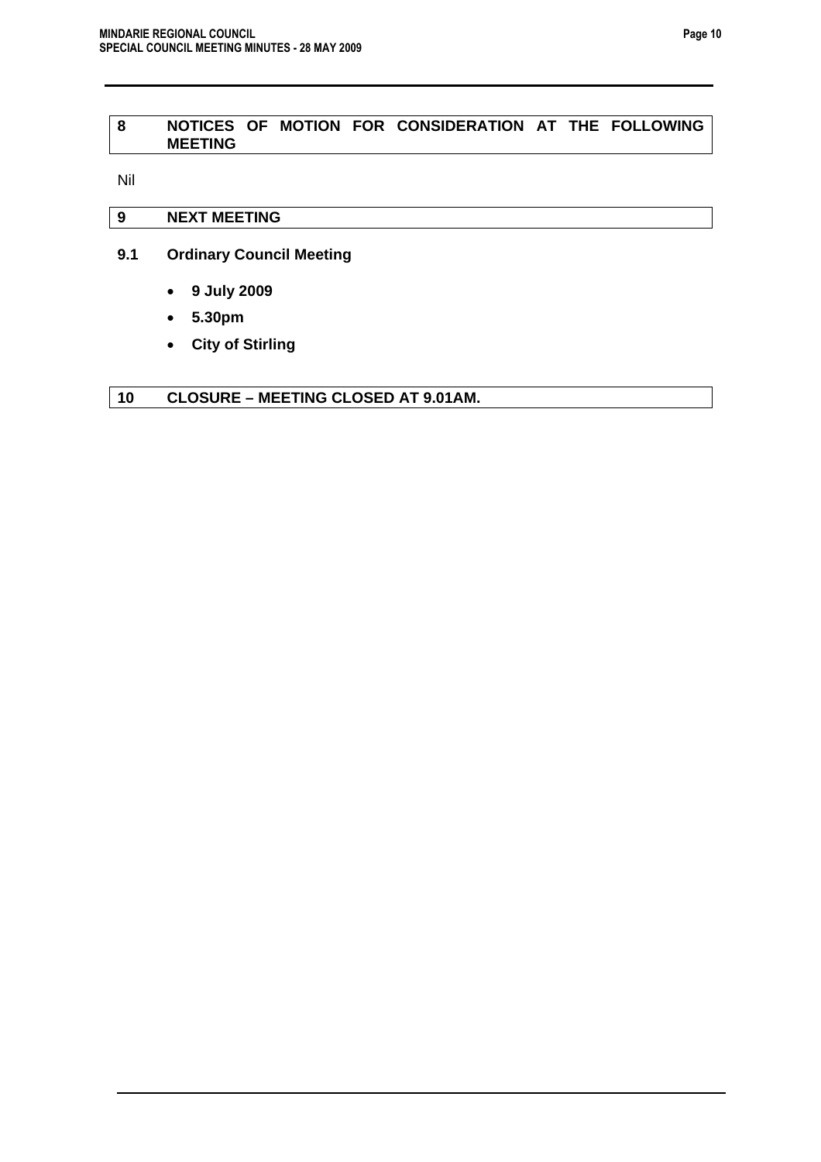### **8 NOTICES OF MOTION FOR CONSIDERATION AT THE FOLLOWING MEETING**

Nil

### **9 NEXT MEETING**

- **9.1 Ordinary Council Meeting** 
	- **9 July 2009**
	- **5.30pm**
	- **City of Stirling**

### **10 CLOSURE – MEETING CLOSED AT 9.01AM.**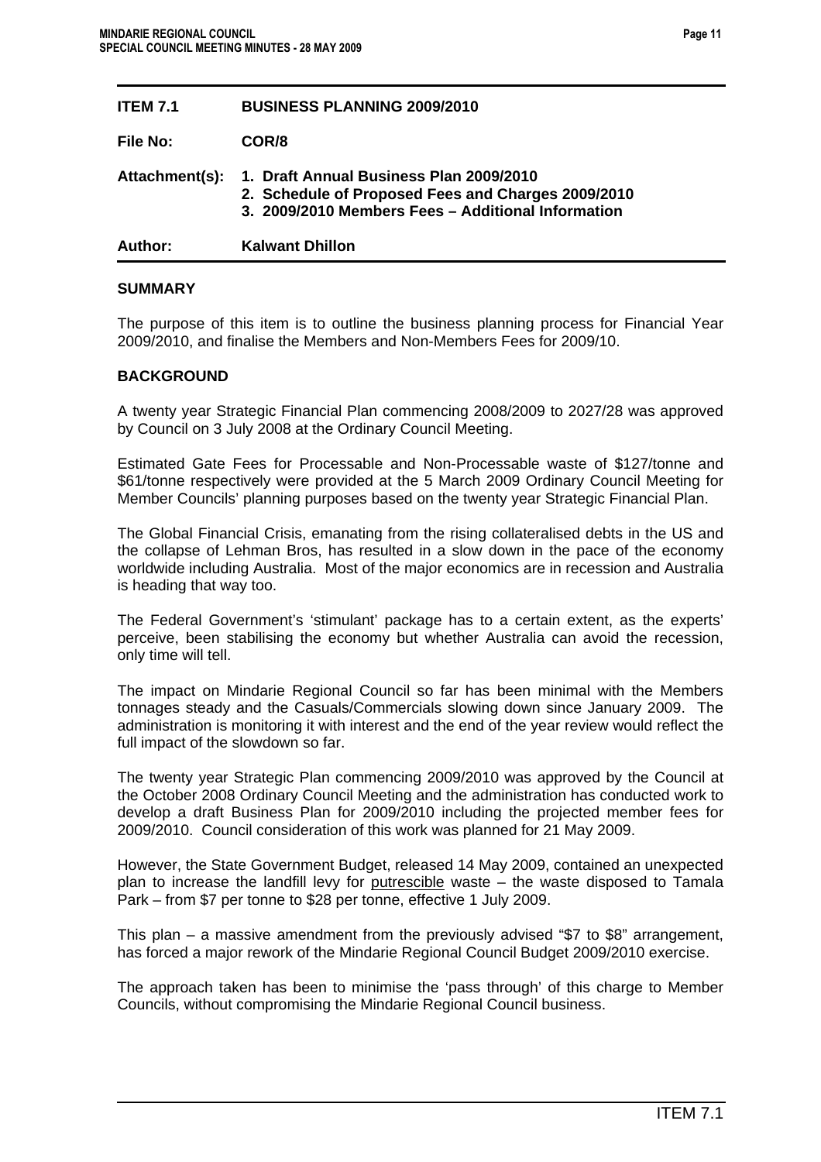| Author:         | Kalwant Dhillon                                                                                                                                     |
|-----------------|-----------------------------------------------------------------------------------------------------------------------------------------------------|
| Attachment(s):  | 1. Draft Annual Business Plan 2009/2010<br>2. Schedule of Proposed Fees and Charges 2009/2010<br>3. 2009/2010 Members Fees - Additional Information |
| File No:        | COR/8                                                                                                                                               |
| <b>ITEM 7.1</b> | <b>BUSINESS PLANNING 2009/2010</b>                                                                                                                  |

### **SUMMARY**

The purpose of this item is to outline the business planning process for Financial Year 2009/2010, and finalise the Members and Non-Members Fees for 2009/10.

### **BACKGROUND**

A twenty year Strategic Financial Plan commencing 2008/2009 to 2027/28 was approved by Council on 3 July 2008 at the Ordinary Council Meeting.

Estimated Gate Fees for Processable and Non-Processable waste of \$127/tonne and \$61/tonne respectively were provided at the 5 March 2009 Ordinary Council Meeting for Member Councils' planning purposes based on the twenty year Strategic Financial Plan.

The Global Financial Crisis, emanating from the rising collateralised debts in the US and the collapse of Lehman Bros, has resulted in a slow down in the pace of the economy worldwide including Australia. Most of the major economics are in recession and Australia is heading that way too.

The Federal Government's 'stimulant' package has to a certain extent, as the experts' perceive, been stabilising the economy but whether Australia can avoid the recession, only time will tell.

The impact on Mindarie Regional Council so far has been minimal with the Members tonnages steady and the Casuals/Commercials slowing down since January 2009. The administration is monitoring it with interest and the end of the year review would reflect the full impact of the slowdown so far.

The twenty year Strategic Plan commencing 2009/2010 was approved by the Council at the October 2008 Ordinary Council Meeting and the administration has conducted work to develop a draft Business Plan for 2009/2010 including the projected member fees for 2009/2010. Council consideration of this work was planned for 21 May 2009.

However, the State Government Budget, released 14 May 2009, contained an unexpected plan to increase the landfill levy for putrescible waste – the waste disposed to Tamala Park – from \$7 per tonne to \$28 per tonne, effective 1 July 2009.

This plan – a massive amendment from the previously advised "\$7 to \$8" arrangement, has forced a major rework of the Mindarie Regional Council Budget 2009/2010 exercise.

The approach taken has been to minimise the 'pass through' of this charge to Member Councils, without compromising the Mindarie Regional Council business.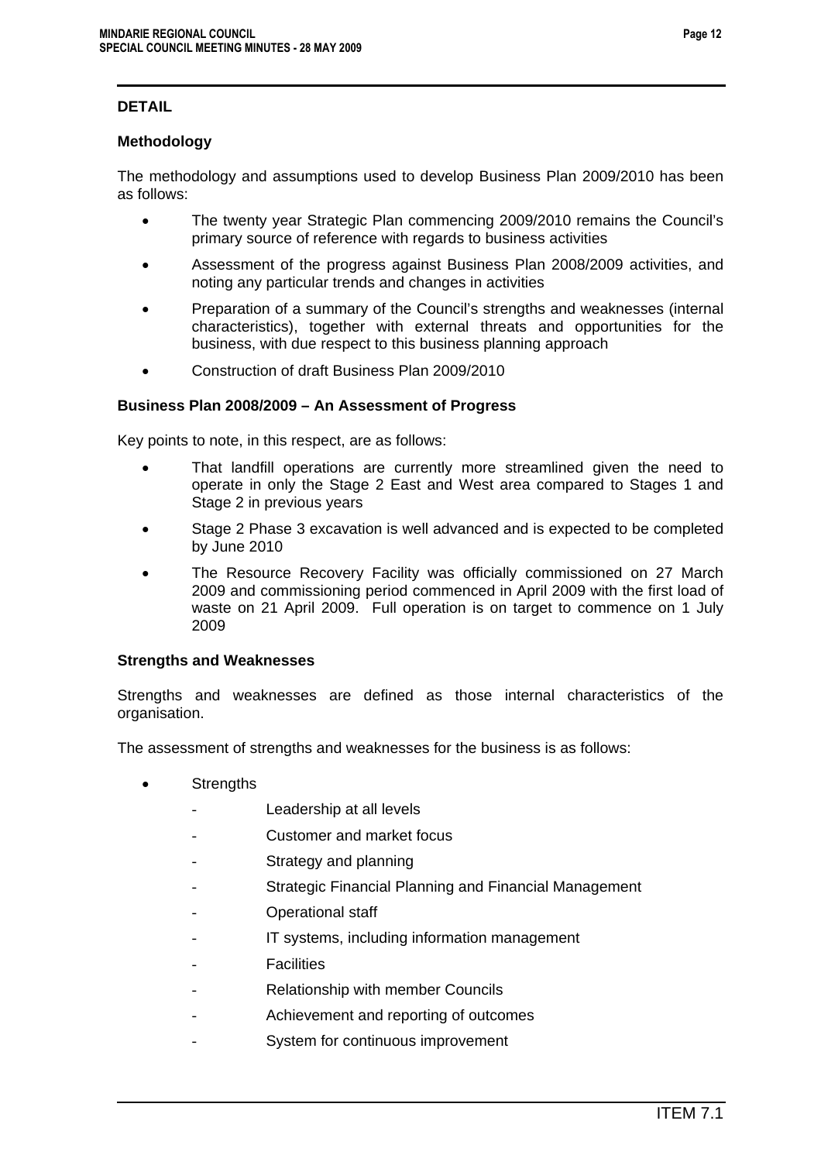# **DETAIL**

### **Methodology**

The methodology and assumptions used to develop Business Plan 2009/2010 has been as follows:

- The twenty year Strategic Plan commencing 2009/2010 remains the Council's primary source of reference with regards to business activities
- Assessment of the progress against Business Plan 2008/2009 activities, and noting any particular trends and changes in activities
- Preparation of a summary of the Council's strengths and weaknesses (internal characteristics), together with external threats and opportunities for the business, with due respect to this business planning approach
- Construction of draft Business Plan 2009/2010

### **Business Plan 2008/2009 – An Assessment of Progress**

Key points to note, in this respect, are as follows:

- That landfill operations are currently more streamlined given the need to operate in only the Stage 2 East and West area compared to Stages 1 and Stage 2 in previous years
- Stage 2 Phase 3 excavation is well advanced and is expected to be completed by June 2010
- The Resource Recovery Facility was officially commissioned on 27 March 2009 and commissioning period commenced in April 2009 with the first load of waste on 21 April 2009. Full operation is on target to commence on 1 July 2009

### **Strengths and Weaknesses**

Strengths and weaknesses are defined as those internal characteristics of the organisation.

The assessment of strengths and weaknesses for the business is as follows:

- Strengths
	- Leadership at all levels
	- Customer and market focus
	- Strategy and planning
	- Strategic Financial Planning and Financial Management
	- Operational staff
	- IT systems, including information management
	- **Facilities**
	- Relationship with member Councils
	- Achievement and reporting of outcomes
	- System for continuous improvement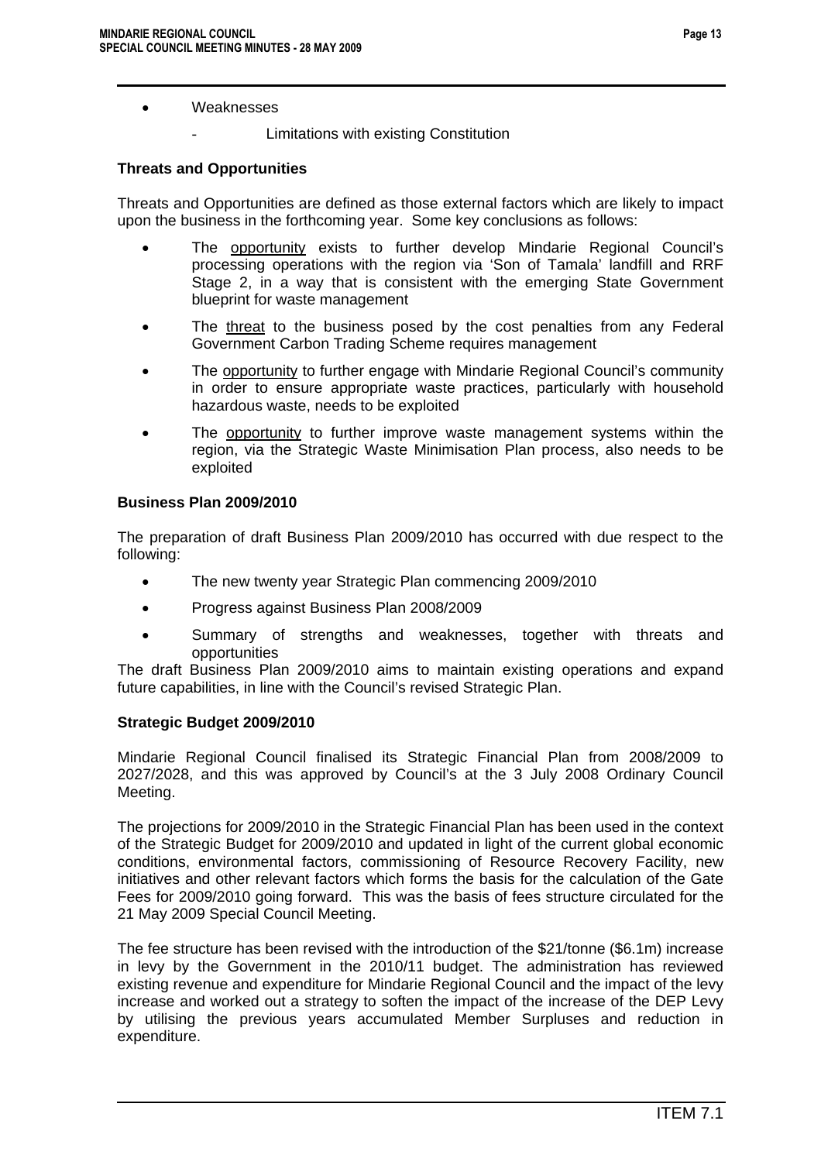### • Weaknesses

Limitations with existing Constitution

# **Threats and Opportunities**

Threats and Opportunities are defined as those external factors which are likely to impact upon the business in the forthcoming year. Some key conclusions as follows:

- The opportunity exists to further develop Mindarie Regional Council's processing operations with the region via 'Son of Tamala' landfill and RRF Stage 2, in a way that is consistent with the emerging State Government blueprint for waste management
- The threat to the business posed by the cost penalties from any Federal Government Carbon Trading Scheme requires management
- The opportunity to further engage with Mindarie Regional Council's community in order to ensure appropriate waste practices, particularly with household hazardous waste, needs to be exploited
- The opportunity to further improve waste management systems within the region, via the Strategic Waste Minimisation Plan process, also needs to be exploited

### **Business Plan 2009/2010**

The preparation of draft Business Plan 2009/2010 has occurred with due respect to the following:

- The new twenty year Strategic Plan commencing 2009/2010
- Progress against Business Plan 2008/2009
- Summary of strengths and weaknesses, together with threats and opportunities

The draft Business Plan 2009/2010 aims to maintain existing operations and expand future capabilities, in line with the Council's revised Strategic Plan.

### **Strategic Budget 2009/2010**

Mindarie Regional Council finalised its Strategic Financial Plan from 2008/2009 to 2027/2028, and this was approved by Council's at the 3 July 2008 Ordinary Council Meeting.

The projections for 2009/2010 in the Strategic Financial Plan has been used in the context of the Strategic Budget for 2009/2010 and updated in light of the current global economic conditions, environmental factors, commissioning of Resource Recovery Facility, new initiatives and other relevant factors which forms the basis for the calculation of the Gate Fees for 2009/2010 going forward. This was the basis of fees structure circulated for the 21 May 2009 Special Council Meeting.

The fee structure has been revised with the introduction of the \$21/tonne (\$6.1m) increase in levy by the Government in the 2010/11 budget. The administration has reviewed existing revenue and expenditure for Mindarie Regional Council and the impact of the levy increase and worked out a strategy to soften the impact of the increase of the DEP Levy by utilising the previous years accumulated Member Surpluses and reduction in expenditure.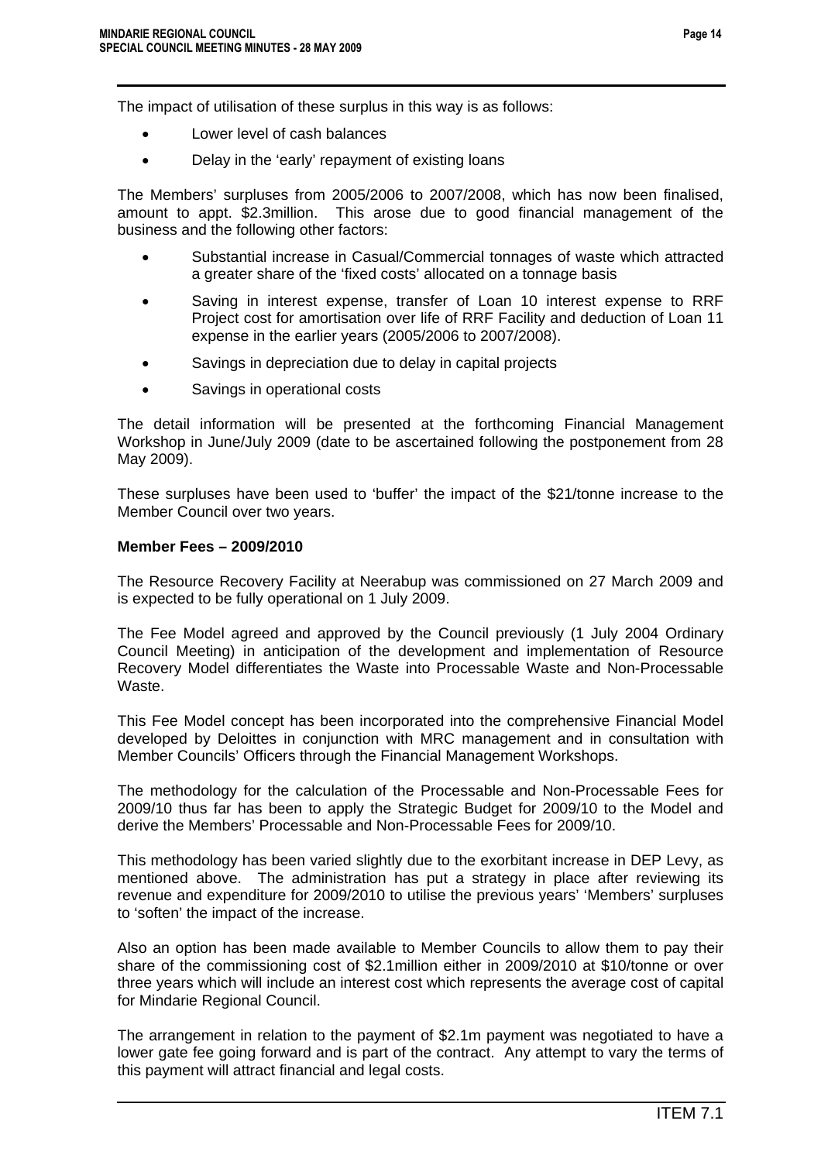The impact of utilisation of these surplus in this way is as follows:

- Lower level of cash balances
- Delay in the 'early' repayment of existing loans

The Members' surpluses from 2005/2006 to 2007/2008, which has now been finalised, amount to appt. \$2.3million. This arose due to good financial management of the business and the following other factors:

- Substantial increase in Casual/Commercial tonnages of waste which attracted a greater share of the 'fixed costs' allocated on a tonnage basis
- Saving in interest expense, transfer of Loan 10 interest expense to RRF Project cost for amortisation over life of RRF Facility and deduction of Loan 11 expense in the earlier years (2005/2006 to 2007/2008).
- Savings in depreciation due to delay in capital projects
- Savings in operational costs

The detail information will be presented at the forthcoming Financial Management Workshop in June/July 2009 (date to be ascertained following the postponement from 28 May 2009).

These surpluses have been used to 'buffer' the impact of the \$21/tonne increase to the Member Council over two years.

### **Member Fees – 2009/2010**

The Resource Recovery Facility at Neerabup was commissioned on 27 March 2009 and is expected to be fully operational on 1 July 2009.

The Fee Model agreed and approved by the Council previously (1 July 2004 Ordinary Council Meeting) in anticipation of the development and implementation of Resource Recovery Model differentiates the Waste into Processable Waste and Non-Processable Waste.

This Fee Model concept has been incorporated into the comprehensive Financial Model developed by Deloittes in conjunction with MRC management and in consultation with Member Councils' Officers through the Financial Management Workshops.

The methodology for the calculation of the Processable and Non-Processable Fees for 2009/10 thus far has been to apply the Strategic Budget for 2009/10 to the Model and derive the Members' Processable and Non-Processable Fees for 2009/10.

This methodology has been varied slightly due to the exorbitant increase in DEP Levy, as mentioned above. The administration has put a strategy in place after reviewing its revenue and expenditure for 2009/2010 to utilise the previous years' 'Members' surpluses to 'soften' the impact of the increase.

Also an option has been made available to Member Councils to allow them to pay their share of the commissioning cost of \$2.1million either in 2009/2010 at \$10/tonne or over three years which will include an interest cost which represents the average cost of capital for Mindarie Regional Council.

The arrangement in relation to the payment of \$2.1m payment was negotiated to have a lower gate fee going forward and is part of the contract. Any attempt to vary the terms of this payment will attract financial and legal costs.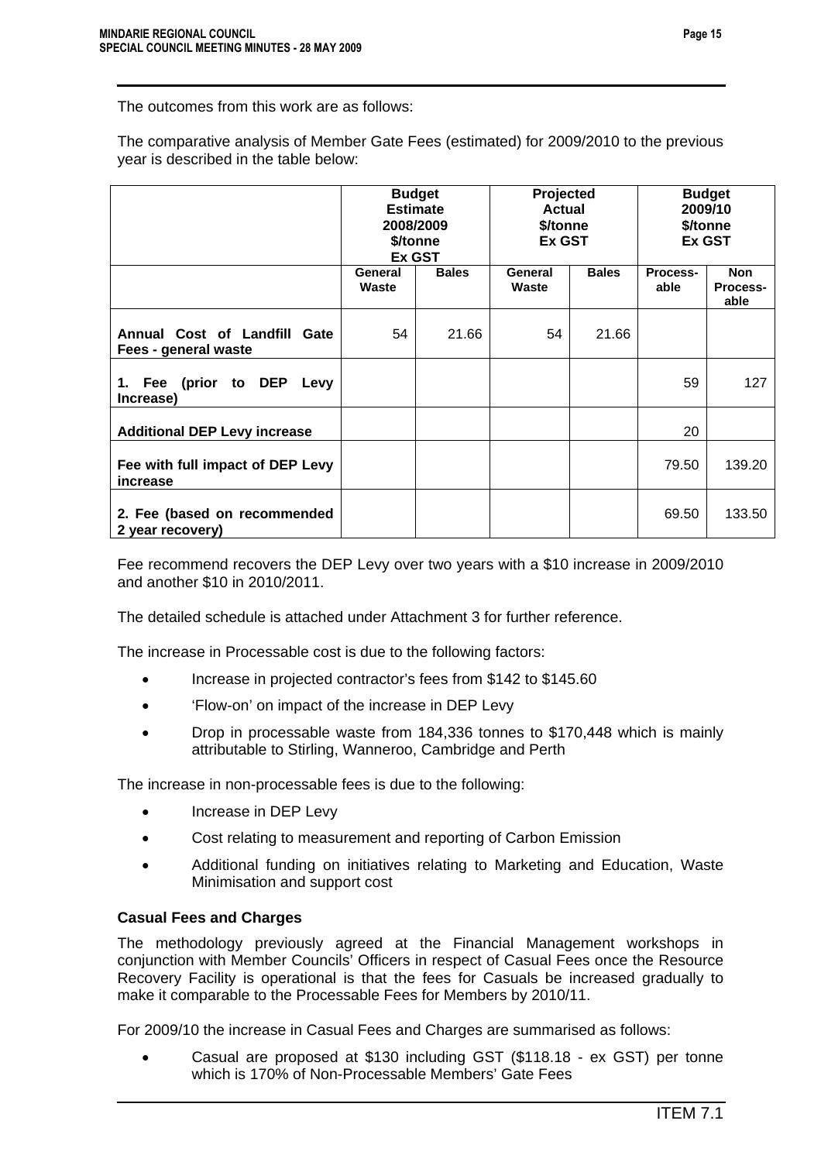The outcomes from this work are as follows:

The comparative analysis of Member Gate Fees (estimated) for 2009/2010 to the previous year is described in the table below:

|                                                      | <b>Budget</b><br><b>Estimate</b><br>2008/2009<br>\$/tonne<br>Ex GST |              | Projected<br><b>Actual</b><br>\$/tonne<br><b>Ex GST</b> |              | <b>Budget</b><br>2009/10<br>\$/tonne<br><b>Ex GST</b> |                                |
|------------------------------------------------------|---------------------------------------------------------------------|--------------|---------------------------------------------------------|--------------|-------------------------------------------------------|--------------------------------|
|                                                      | General<br>Waste                                                    | <b>Bales</b> | General<br>Waste                                        | <b>Bales</b> | Process-<br>able                                      | <b>Non</b><br>Process-<br>able |
| Annual Cost of Landfill Gate<br>Fees - general waste | 54                                                                  | 21.66        | 54                                                      | 21.66        |                                                       |                                |
| 1. Fee (prior to DEP<br>Levy<br>Increase)            |                                                                     |              |                                                         |              | 59                                                    | 127                            |
| <b>Additional DEP Levy increase</b>                  |                                                                     |              |                                                         |              | 20                                                    |                                |
| Fee with full impact of DEP Levy<br>increase         |                                                                     |              |                                                         |              | 79.50                                                 | 139.20                         |
| 2. Fee (based on recommended<br>2 year recovery)     |                                                                     |              |                                                         |              | 69.50                                                 | 133.50                         |

Fee recommend recovers the DEP Levy over two years with a \$10 increase in 2009/2010 and another \$10 in 2010/2011.

The detailed schedule is attached under Attachment 3 for further reference.

The increase in Processable cost is due to the following factors:

- Increase in projected contractor's fees from \$142 to \$145.60
- 'Flow-on' on impact of the increase in DEP Levy
- Drop in processable waste from 184,336 tonnes to \$170,448 which is mainly attributable to Stirling, Wanneroo, Cambridge and Perth

The increase in non-processable fees is due to the following:

- Increase in DEP Levy
- Cost relating to measurement and reporting of Carbon Emission
- Additional funding on initiatives relating to Marketing and Education, Waste Minimisation and support cost

### **Casual Fees and Charges**

The methodology previously agreed at the Financial Management workshops in conjunction with Member Councils' Officers in respect of Casual Fees once the Resource Recovery Facility is operational is that the fees for Casuals be increased gradually to make it comparable to the Processable Fees for Members by 2010/11.

For 2009/10 the increase in Casual Fees and Charges are summarised as follows:

• Casual are proposed at \$130 including GST (\$118.18 - ex GST) per tonne which is 170% of Non-Processable Members' Gate Fees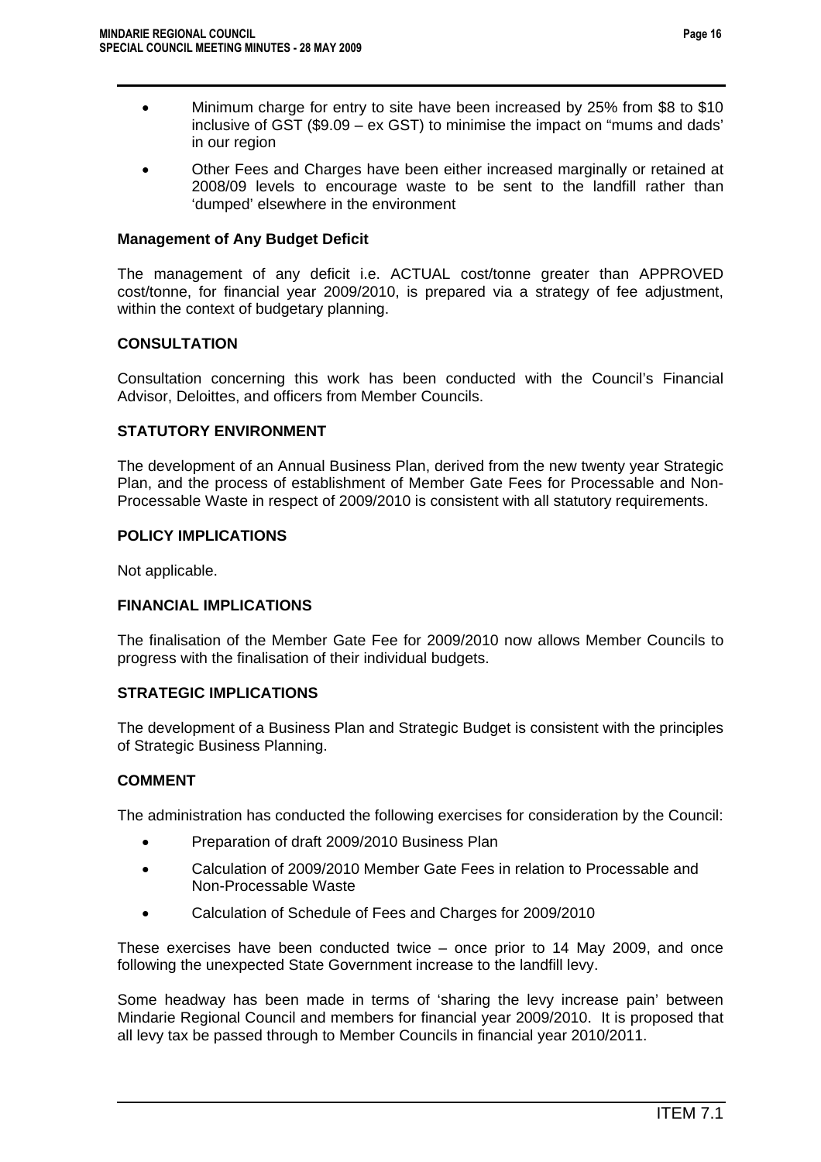- Minimum charge for entry to site have been increased by 25% from \$8 to \$10 inclusive of GST (\$9.09 – ex GST) to minimise the impact on "mums and dads' in our region
- Other Fees and Charges have been either increased marginally or retained at 2008/09 levels to encourage waste to be sent to the landfill rather than 'dumped' elsewhere in the environment

### **Management of Any Budget Deficit**

The management of any deficit i.e. ACTUAL cost/tonne greater than APPROVED cost/tonne, for financial year 2009/2010, is prepared via a strategy of fee adjustment, within the context of budgetary planning.

### **CONSULTATION**

Consultation concerning this work has been conducted with the Council's Financial Advisor, Deloittes, and officers from Member Councils.

### **STATUTORY ENVIRONMENT**

The development of an Annual Business Plan, derived from the new twenty year Strategic Plan, and the process of establishment of Member Gate Fees for Processable and Non-Processable Waste in respect of 2009/2010 is consistent with all statutory requirements.

### **POLICY IMPLICATIONS**

Not applicable.

### **FINANCIAL IMPLICATIONS**

The finalisation of the Member Gate Fee for 2009/2010 now allows Member Councils to progress with the finalisation of their individual budgets.

### **STRATEGIC IMPLICATIONS**

The development of a Business Plan and Strategic Budget is consistent with the principles of Strategic Business Planning.

### **COMMENT**

The administration has conducted the following exercises for consideration by the Council:

- Preparation of draft 2009/2010 Business Plan
- Calculation of 2009/2010 Member Gate Fees in relation to Processable and Non-Processable Waste
- Calculation of Schedule of Fees and Charges for 2009/2010

These exercises have been conducted twice – once prior to 14 May 2009, and once following the unexpected State Government increase to the landfill levy.

Some headway has been made in terms of 'sharing the levy increase pain' between Mindarie Regional Council and members for financial year 2009/2010. It is proposed that all levy tax be passed through to Member Councils in financial year 2010/2011.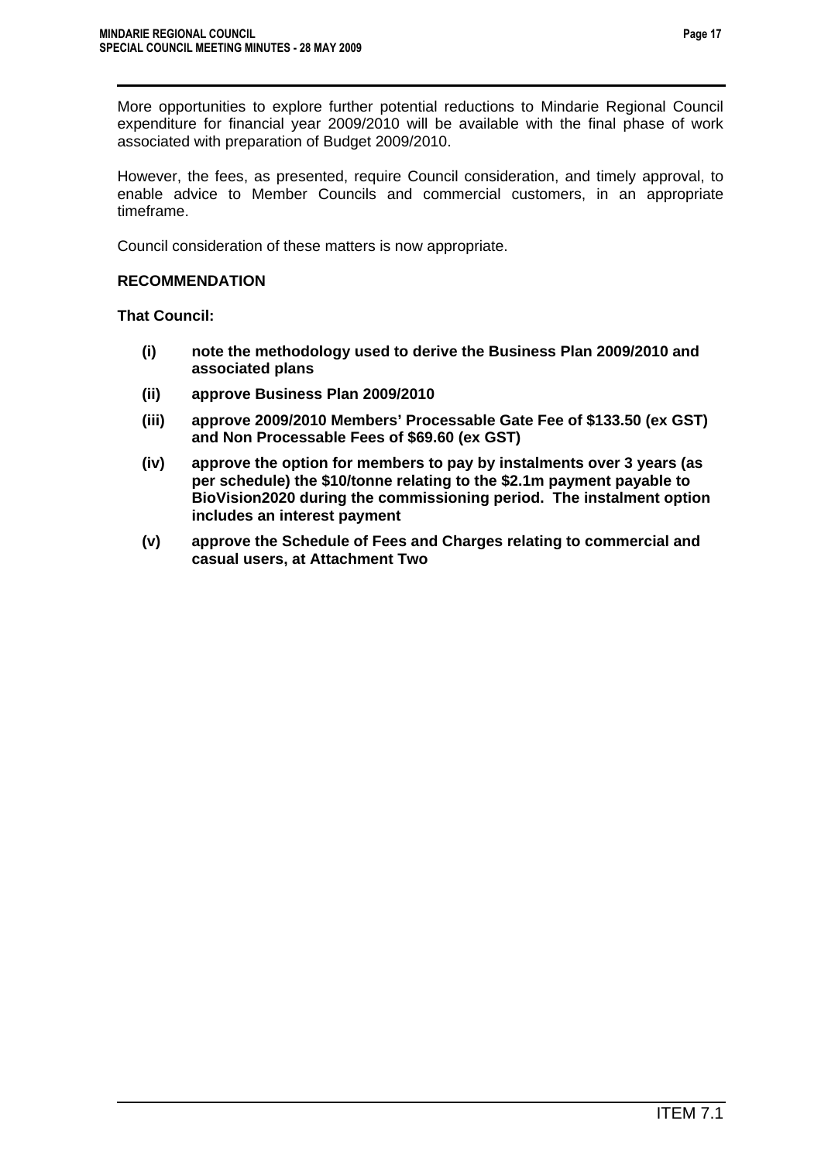However, the fees, as presented, require Council consideration, and timely approval, to enable advice to Member Councils and commercial customers, in an appropriate timeframe.

Council consideration of these matters is now appropriate.

### **RECOMMENDATION**

**That Council:** 

- **(i) note the methodology used to derive the Business Plan 2009/2010 and associated plans**
- **(ii) approve Business Plan 2009/2010**
- **(iii) approve 2009/2010 Members' Processable Gate Fee of \$133.50 (ex GST) and Non Processable Fees of \$69.60 (ex GST)**
- **(iv) approve the option for members to pay by instalments over 3 years (as per schedule) the \$10/tonne relating to the \$2.1m payment payable to BioVision2020 during the commissioning period. The instalment option includes an interest payment**
- **(v) approve the Schedule of Fees and Charges relating to commercial and casual users, at Attachment Two**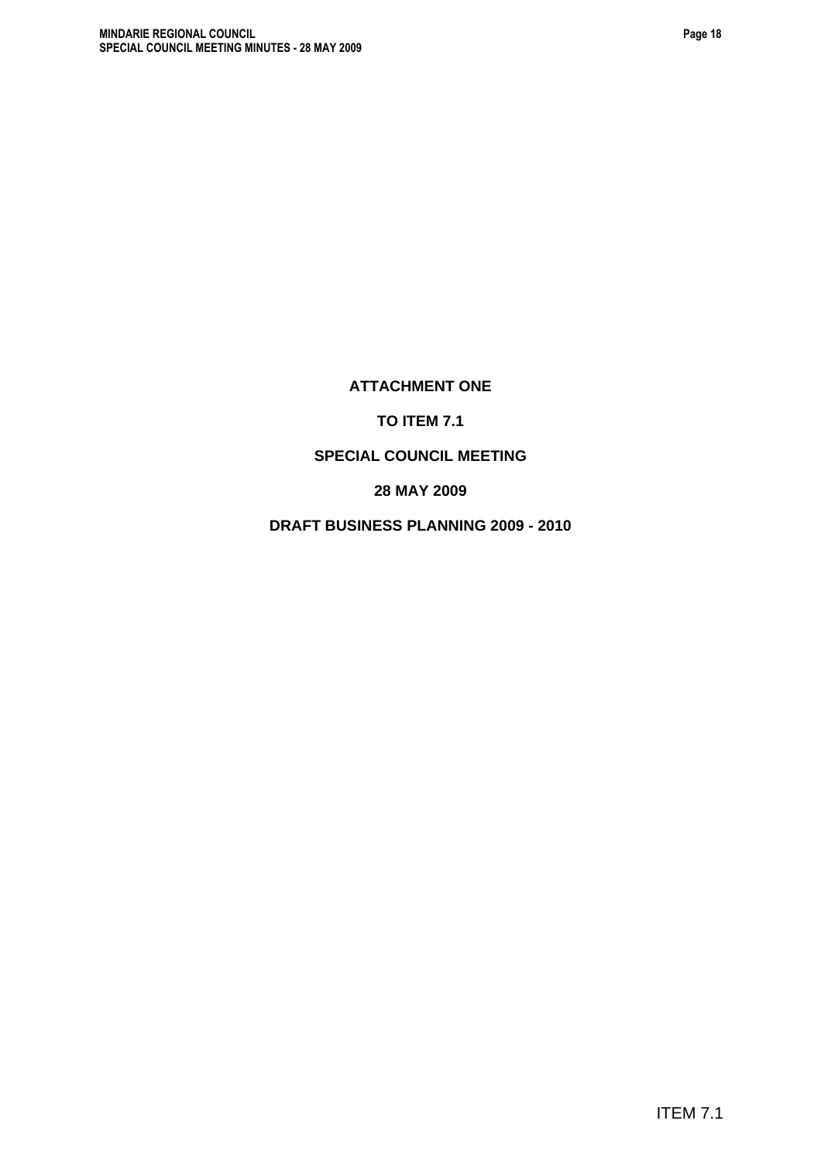# **ATTACHMENT ONE**

**SPECIAL COUNCIL MEETING** 

**28 MAY 2009** 

**DRAFT BUSINESS PLANNING 2009 - 2010** 

# **TO ITEM 7.1**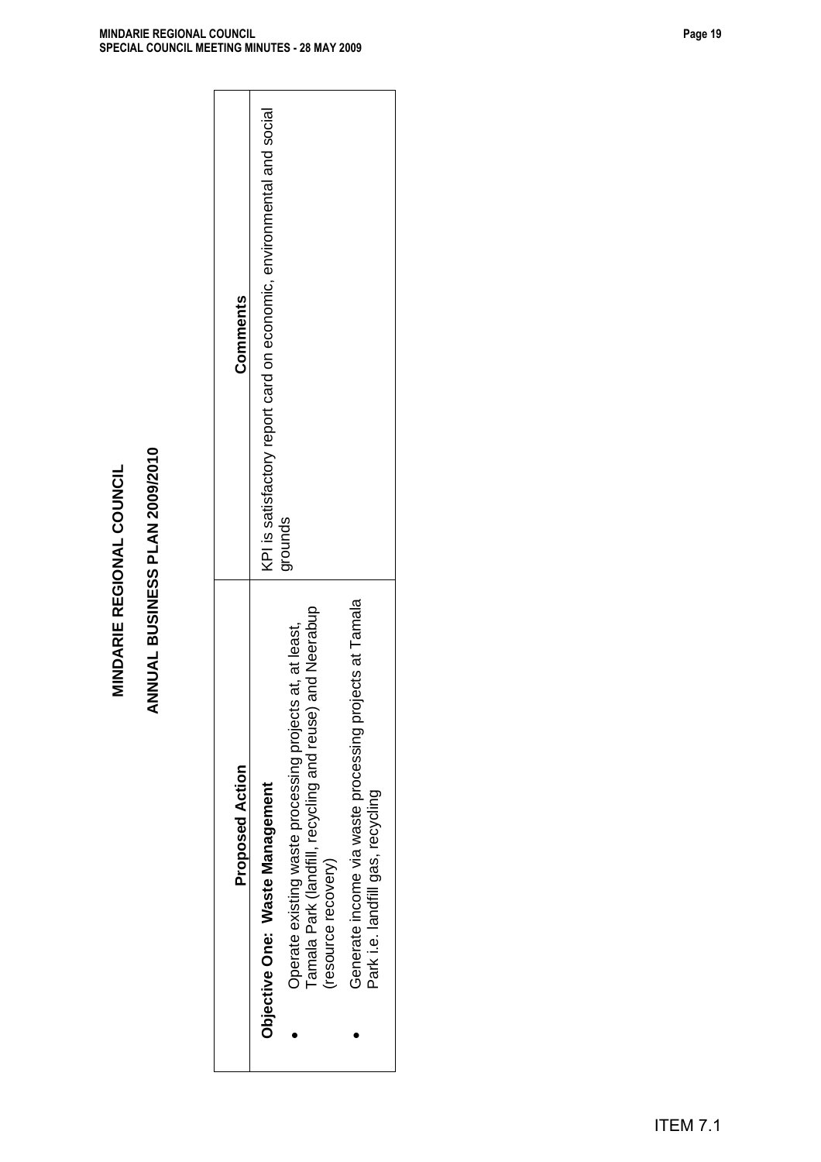| <b>BUSINESS PLAN 2009/2010</b><br>Tamala<br>Tamala Park (landfill, recycling and reuse) and Neerabup<br>Operate existing waste processing projects at, at least,<br>ANNUAL<br>Generate income via waste processing projects at<br><b>Proposed Action</b><br>Objective One: Waste Management<br>Park i.e. landfill gas, recycling<br>(resource recovery) |
|---------------------------------------------------------------------------------------------------------------------------------------------------------------------------------------------------------------------------------------------------------------------------------------------------------------------------------------------------------|
|                                                                                                                                                                                                                                                                                                                                                         |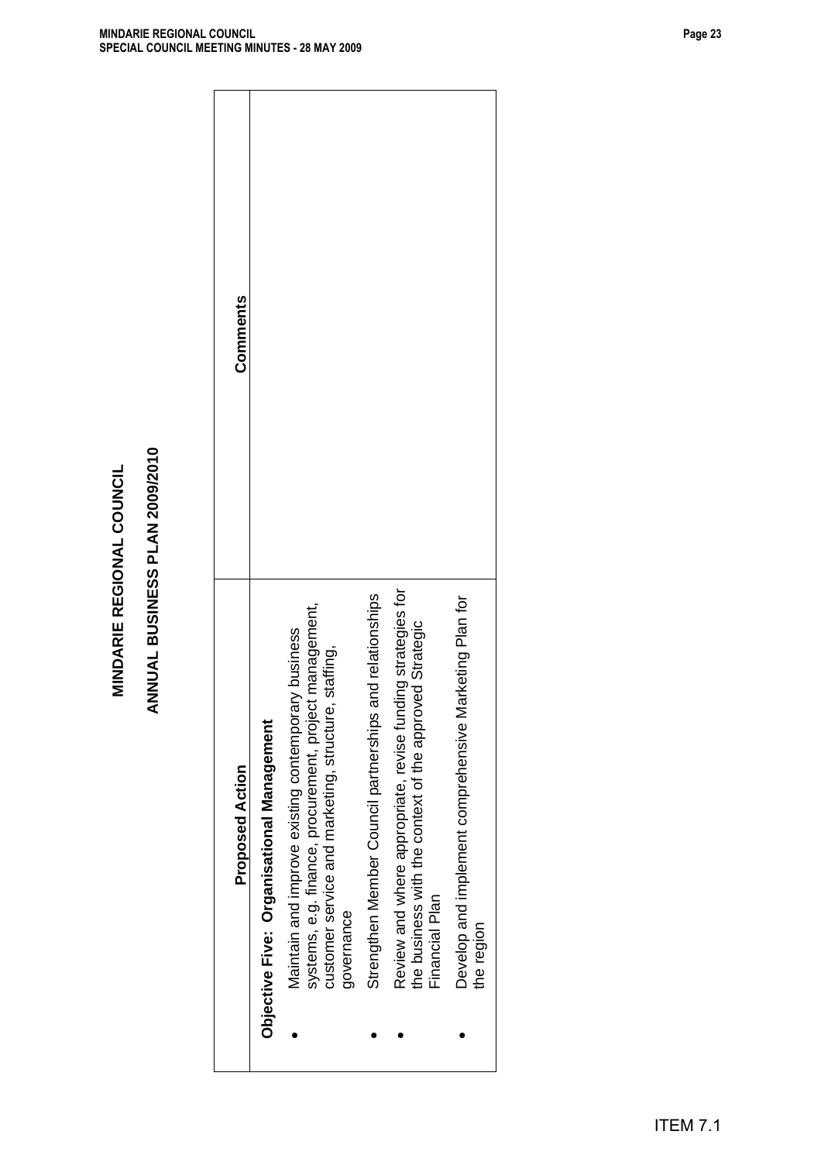| Review and where appropriate, revise funding strategies for<br>ionships<br>Plan for<br>systems, e.g. finance, procurement, project management,<br>the business with the context of the approved Strategic<br>Maintain and improve existing contemporary business<br>customer service and marketing, structure, staffing<br>Strengthen Member Council partnerships and relat<br>Develop and implement comprehensive Marketing<br>Objective Five: Organisational Management<br><b>Proposed Action</b> |
|-----------------------------------------------------------------------------------------------------------------------------------------------------------------------------------------------------------------------------------------------------------------------------------------------------------------------------------------------------------------------------------------------------------------------------------------------------------------------------------------------------|
|                                                                                                                                                                                                                                                                                                                                                                                                                                                                                                     |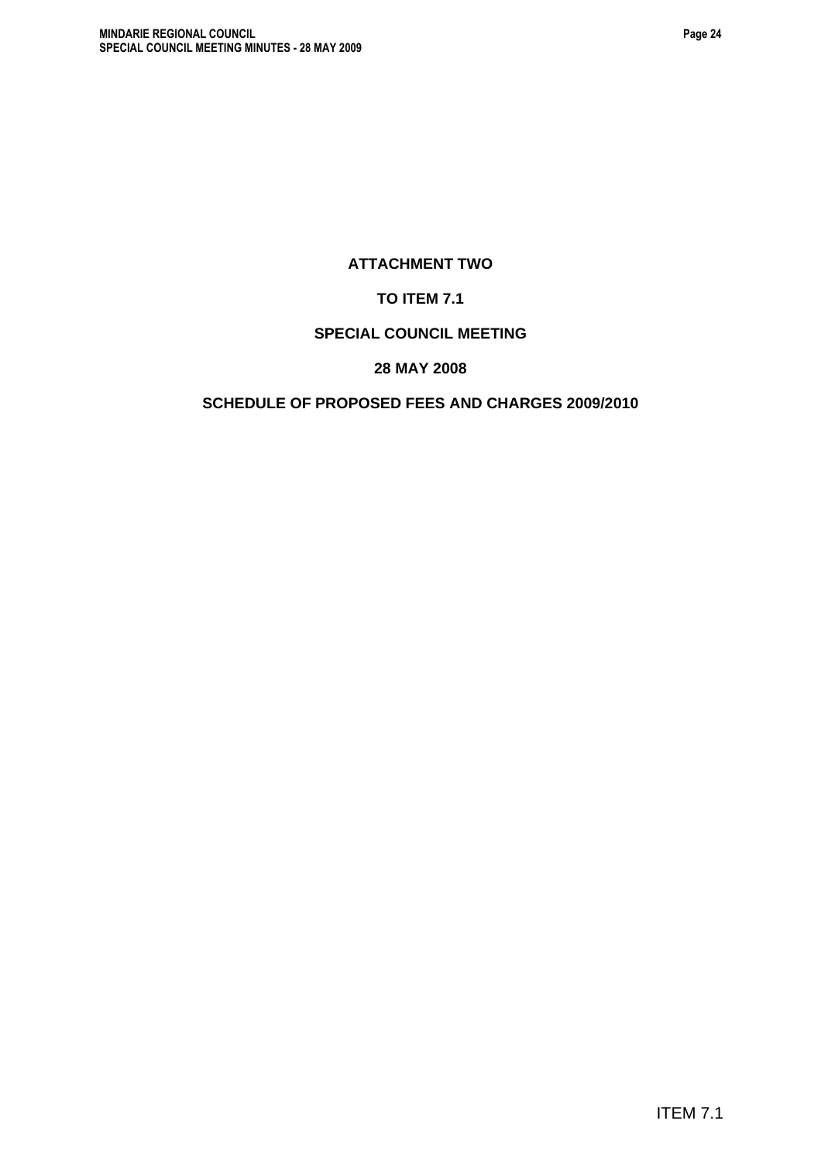# **ATTACHMENT TWO**

# **TO ITEM 7.1**

## **SPECIAL COUNCIL MEETING**

## **28 MAY 2008**

# **SCHEDULE OF PROPOSED FEES AND CHARGES 2009/2010**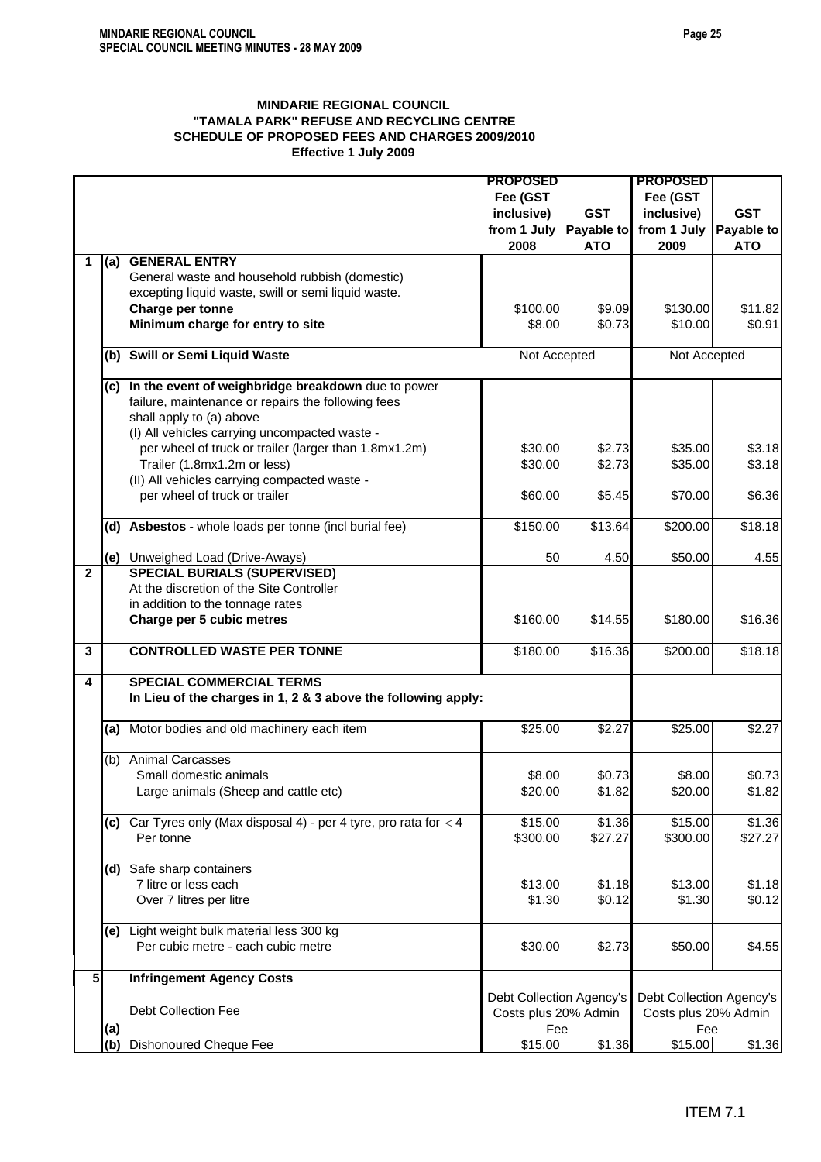### **MINDARIE REGIONAL COUNCIL "TAMALA PARK" REFUSE AND RECYCLING CENTRE SCHEDULE OF PROPOSED FEES AND CHARGES 2009/2010 Effective 1 July 2009**

|              |            |                                                                      | <b>PROPOSED</b>          |            | <b>PROPOSED</b>          |            |
|--------------|------------|----------------------------------------------------------------------|--------------------------|------------|--------------------------|------------|
|              |            |                                                                      | Fee (GST                 |            | Fee (GST                 |            |
|              |            |                                                                      | inclusive)               | <b>GST</b> | inclusive)               | <b>GST</b> |
|              |            |                                                                      | from 1 July              | Payable to | from 1 July              | Payable to |
|              |            |                                                                      | 2008                     | <b>ATO</b> | 2009                     | <b>ATO</b> |
| 1            |            | (a) GENERAL ENTRY                                                    |                          |            |                          |            |
|              |            | General waste and household rubbish (domestic)                       |                          |            |                          |            |
|              |            | excepting liquid waste, swill or semi liquid waste.                  |                          |            |                          |            |
|              |            | Charge per tonne                                                     | \$100.00                 | \$9.09     | \$130.00                 | \$11.82    |
|              |            | Minimum charge for entry to site                                     | \$8.00                   | \$0.73     | \$10.00                  | \$0.91     |
|              |            |                                                                      |                          |            |                          |            |
|              |            | (b) Swill or Semi Liquid Waste                                       | Not Accepted             |            | Not Accepted             |            |
|              |            |                                                                      |                          |            |                          |            |
|              |            | (c) In the event of weighbridge breakdown due to power               |                          |            |                          |            |
|              |            | failure, maintenance or repairs the following fees                   |                          |            |                          |            |
|              |            | shall apply to (a) above                                             |                          |            |                          |            |
|              |            | (I) All vehicles carrying uncompacted waste -                        |                          |            |                          |            |
|              |            | per wheel of truck or trailer (larger than 1.8mx1.2m)                | \$30.00                  | \$2.73     | \$35.00                  | \$3.18     |
|              |            | Trailer (1.8mx1.2m or less)                                          | \$30.00                  | \$2.73     | \$35.00                  | \$3.18     |
|              |            | (II) All vehicles carrying compacted waste -                         |                          |            |                          |            |
|              |            | per wheel of truck or trailer                                        | \$60.00                  | \$5.45     | \$70.00                  | \$6.36     |
|              |            |                                                                      |                          |            |                          |            |
|              |            | (d) Asbestos - whole loads per tonne (incl burial fee)               | \$150.00                 | \$13.64    | \$200.00                 | \$18.18    |
|              |            |                                                                      |                          |            |                          |            |
|              |            | (e) Unweighed Load (Drive-Aways)                                     | 50                       | 4.50       | \$50.00                  | 4.55       |
| $\mathbf{2}$ |            | <b>SPECIAL BURIALS (SUPERVISED)</b>                                  |                          |            |                          |            |
|              |            | At the discretion of the Site Controller                             |                          |            |                          |            |
|              |            | in addition to the tonnage rates                                     |                          |            |                          |            |
|              |            | Charge per 5 cubic metres                                            | \$160.00                 | \$14.55    | \$180.00                 | \$16.36    |
| 3            |            | <b>CONTROLLED WASTE PER TONNE</b>                                    | \$180.00                 | \$16.36    | \$200.00                 | \$18.18    |
|              |            |                                                                      |                          |            |                          |            |
| 4            |            | <b>SPECIAL COMMERCIAL TERMS</b>                                      |                          |            |                          |            |
|              |            | In Lieu of the charges in 1, 2 & 3 above the following apply:        |                          |            |                          |            |
|              |            |                                                                      |                          |            |                          |            |
|              | (a)        | Motor bodies and old machinery each item                             | \$25.00                  | \$2.27     | \$25.00                  | \$2.27     |
|              | (b)        | <b>Animal Carcasses</b>                                              |                          |            |                          |            |
|              |            | Small domestic animals                                               | \$8.00                   | \$0.73     | \$8.00                   | \$0.73     |
|              |            | Large animals (Sheep and cattle etc)                                 | \$20.00                  | \$1.82     | \$20.00                  | \$1.82     |
|              |            |                                                                      |                          |            |                          |            |
|              |            | (c) Car Tyres only (Max disposal 4) - per 4 tyre, pro rata for $<$ 4 | \$15.00                  | \$1.36     | \$15.00                  | \$1.36     |
|              |            | Per tonne                                                            | \$300.00                 | \$27.27    | \$300.00                 | \$27.27    |
|              |            |                                                                      |                          |            |                          |            |
|              |            | (d) Safe sharp containers                                            |                          |            |                          |            |
|              |            | 7 litre or less each                                                 | \$13.00                  | \$1.18     | \$13.00                  | \$1.18     |
|              |            | Over 7 litres per litre                                              | \$1.30                   | \$0.12     | \$1.30                   | \$0.12     |
|              |            |                                                                      |                          |            |                          |            |
|              |            | (e) Light weight bulk material less 300 kg                           |                          |            |                          |            |
|              |            | Per cubic metre - each cubic metre                                   | \$30.00                  | \$2.73     | \$50.00                  | \$4.55     |
|              |            |                                                                      |                          |            |                          |            |
| 5            |            | <b>Infringement Agency Costs</b>                                     |                          |            |                          |            |
|              |            |                                                                      | Debt Collection Agency's |            | Debt Collection Agency's |            |
|              |            | <b>Debt Collection Fee</b>                                           | Costs plus 20% Admin     |            | Costs plus 20% Admin     |            |
|              | <u>(a)</u> |                                                                      | Fee                      |            | Fee                      |            |
|              | (b)        | Dishonoured Cheque Fee                                               | \$15.00                  | \$1.36     | \$15.00                  | \$1.36     |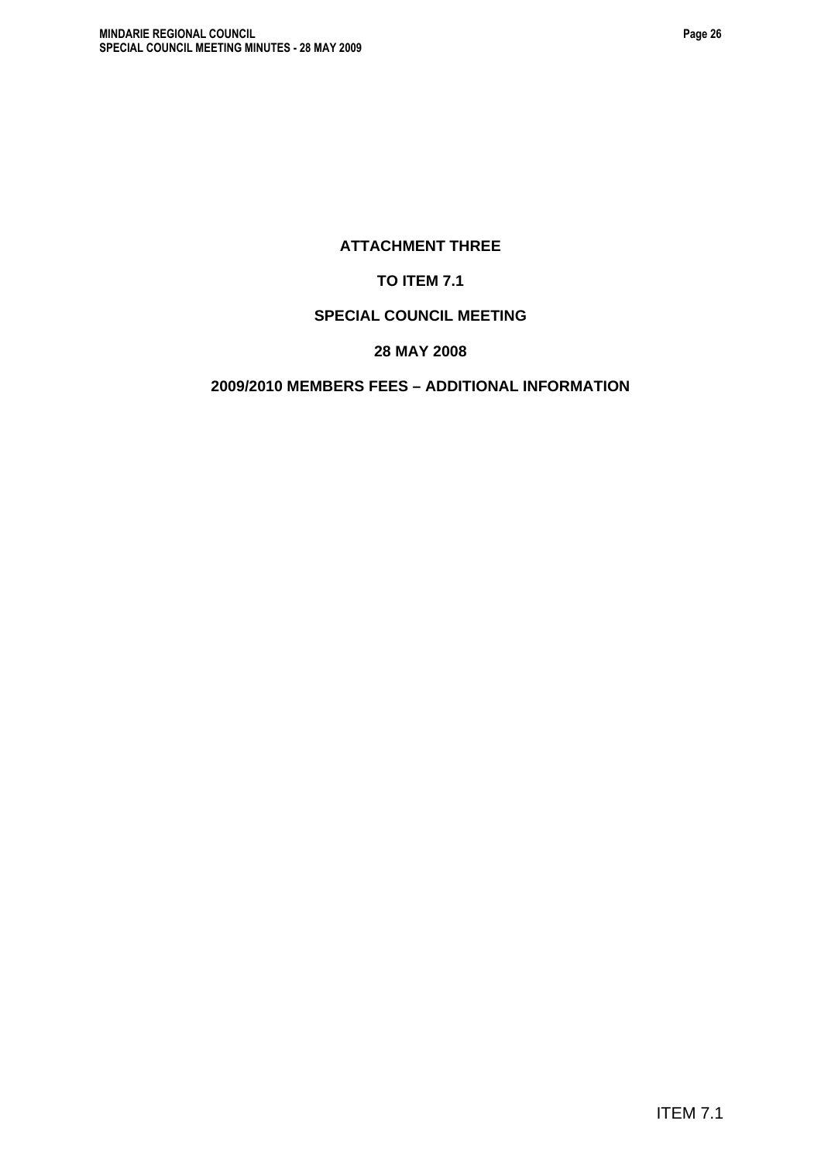# **ATTACHMENT THREE**

# **TO ITEM 7.1**

# **SPECIAL COUNCIL MEETING**

# **28 MAY 2008**

# **2009/2010 MEMBERS FEES – ADDITIONAL INFORMATION**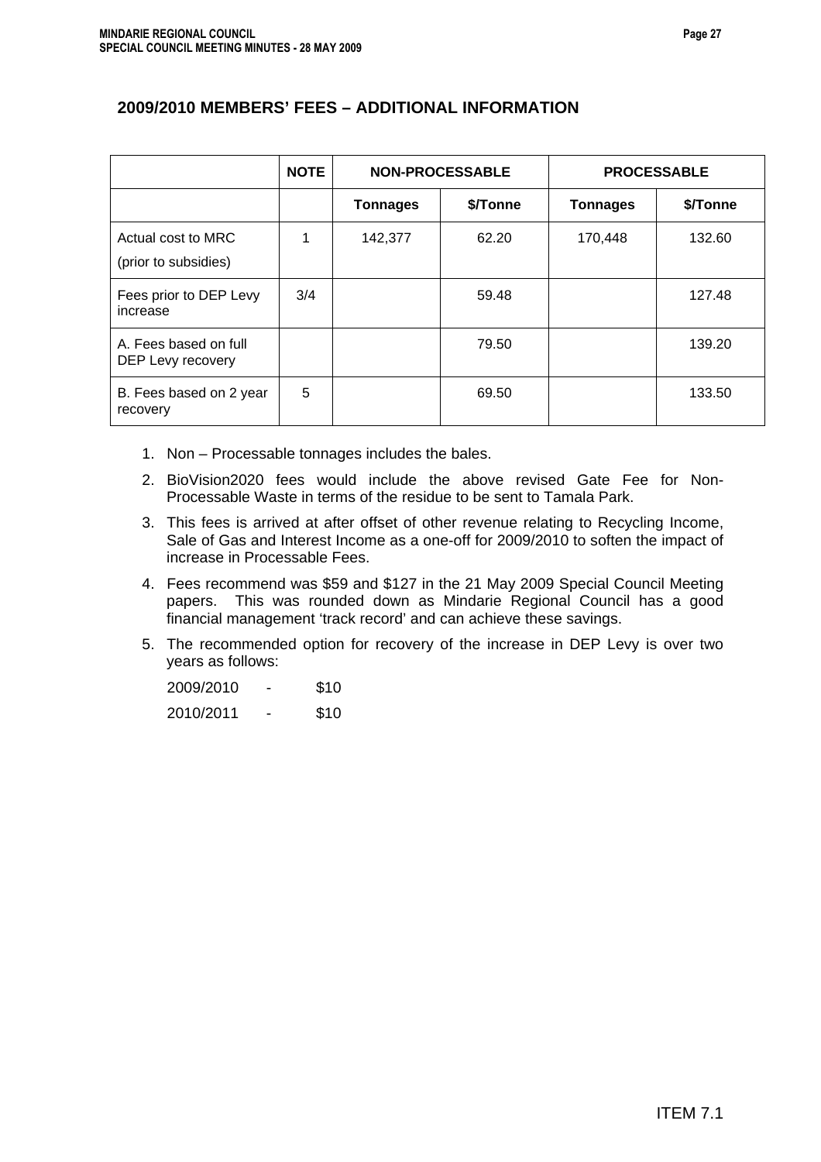# **2009/2010 MEMBERS' FEES – ADDITIONAL INFORMATION**

|                                            | <b>NOTE</b> |                 | <b>NON-PROCESSABLE</b> | <b>PROCESSABLE</b> |          |  |
|--------------------------------------------|-------------|-----------------|------------------------|--------------------|----------|--|
|                                            |             | <b>Tonnages</b> | \$/Tonne               | <b>Tonnages</b>    | \$/Tonne |  |
| Actual cost to MRC<br>(prior to subsidies) | 1           | 142,377         | 62.20                  | 170,448            | 132.60   |  |
| Fees prior to DEP Levy<br>increase         | 3/4         |                 | 59.48                  |                    | 127.48   |  |
| A. Fees based on full<br>DEP Levy recovery |             |                 | 79.50                  |                    | 139.20   |  |
| B. Fees based on 2 year<br>recovery        | 5           |                 | 69.50                  |                    | 133.50   |  |

- 1. Non Processable tonnages includes the bales.
- 2. BioVision2020 fees would include the above revised Gate Fee for Non-Processable Waste in terms of the residue to be sent to Tamala Park.
- 3. This fees is arrived at after offset of other revenue relating to Recycling Income, Sale of Gas and Interest Income as a one-off for 2009/2010 to soften the impact of increase in Processable Fees.
- 4. Fees recommend was \$59 and \$127 in the 21 May 2009 Special Council Meeting papers. This was rounded down as Mindarie Regional Council has a good financial management 'track record' and can achieve these savings.
- 5. The recommended option for recovery of the increase in DEP Levy is over two years as follows:

| 2009/2010 | - | \$10 |
|-----------|---|------|
| 2010/2011 | - | \$10 |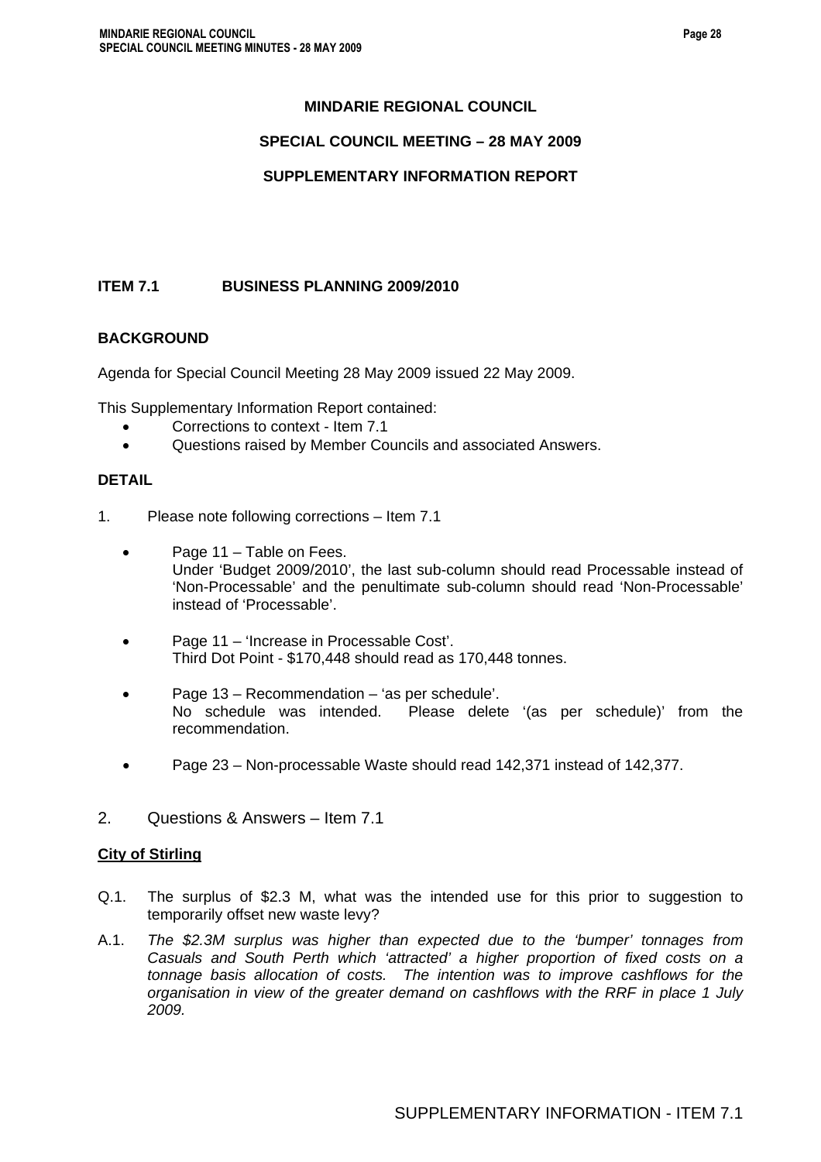# **MINDARIE REGIONAL COUNCIL**

### **SPECIAL COUNCIL MEETING – 28 MAY 2009**

### **SUPPLEMENTARY INFORMATION REPORT**

### **ITEM 7.1 BUSINESS PLANNING 2009/2010**

### **BACKGROUND**

Agenda for Special Council Meeting 28 May 2009 issued 22 May 2009.

This Supplementary Information Report contained:

- Corrections to context Item 7.1
- Questions raised by Member Councils and associated Answers.

### **DETAIL**

- 1. Please note following corrections Item 7.1
	- Page 11 Table on Fees. Under 'Budget 2009/2010', the last sub-column should read Processable instead of 'Non-Processable' and the penultimate sub-column should read 'Non-Processable' instead of 'Processable'.
	- Page 11 'Increase in Processable Cost'. Third Dot Point - \$170,448 should read as 170,448 tonnes.
	- Page 13 Recommendation 'as per schedule'. No schedule was intended. Please delete '(as per schedule)' from the recommendation.
	- Page 23 Non-processable Waste should read 142,371 instead of 142,377.
- 2. Questions & Answers Item 7.1

### **City of Stirling**

- Q.1. The surplus of \$2.3 M, what was the intended use for this prior to suggestion to temporarily offset new waste levy?
- A.1. *The \$2.3M surplus was higher than expected due to the 'bumper' tonnages from Casuals and South Perth which 'attracted' a higher proportion of fixed costs on a tonnage basis allocation of costs. The intention was to improve cashflows for the organisation in view of the greater demand on cashflows with the RRF in place 1 July 2009.*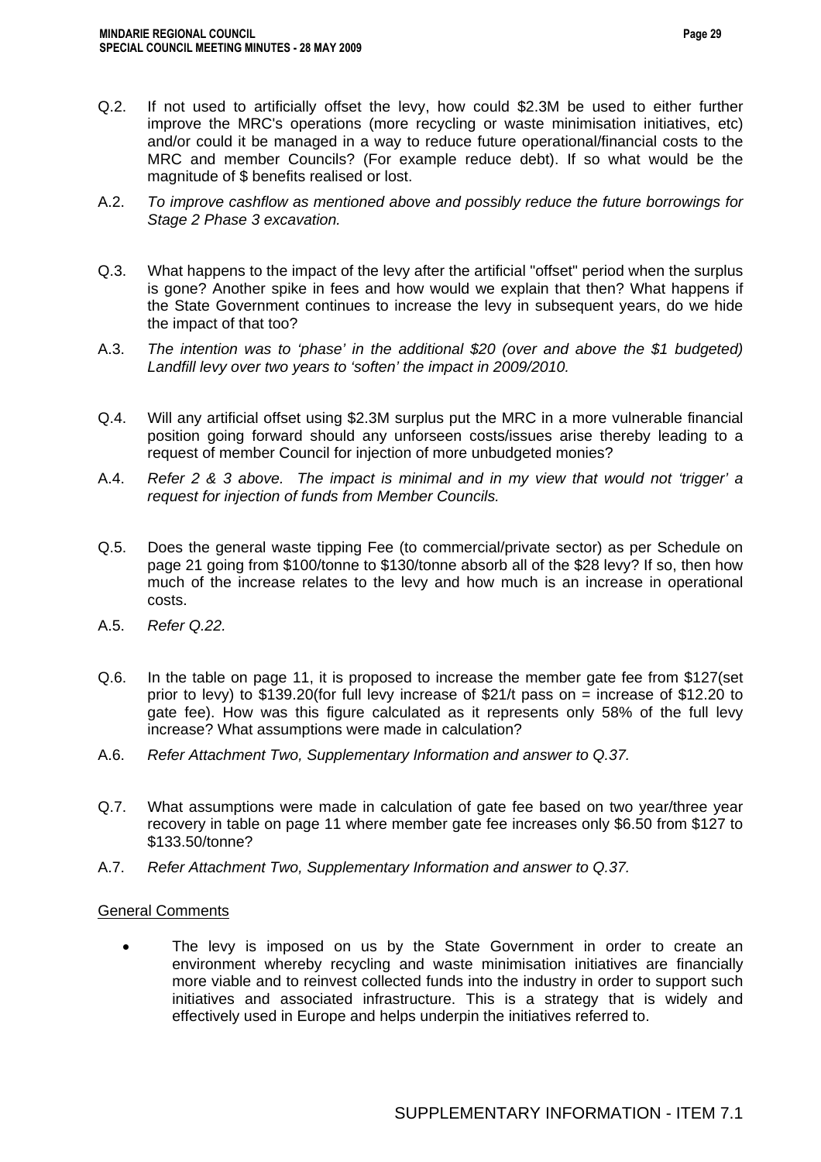- Q.2. If not used to artificially offset the levy, how could \$2.3M be used to either further improve the MRC's operations (more recycling or waste minimisation initiatives, etc) and/or could it be managed in a way to reduce future operational/financial costs to the MRC and member Councils? (For example reduce debt). If so what would be the magnitude of \$ benefits realised or lost.
- A.2. *To improve cashflow as mentioned above and possibly reduce the future borrowings for Stage 2 Phase 3 excavation.*
- Q.3. What happens to the impact of the levy after the artificial "offset" period when the surplus is gone? Another spike in fees and how would we explain that then? What happens if the State Government continues to increase the levy in subsequent years, do we hide the impact of that too?
- A.3. *The intention was to 'phase' in the additional \$20 (over and above the \$1 budgeted)*  Landfill levy over two years to 'soften' the impact in 2009/2010.
- Q.4. Will any artificial offset using \$2.3M surplus put the MRC in a more vulnerable financial position going forward should any unforseen costs/issues arise thereby leading to a request of member Council for injection of more unbudgeted monies?
- A.4. *Refer 2 & 3 above. The impact is minimal and in my view that would not 'trigger' a request for injection of funds from Member Councils.*
- Q.5. Does the general waste tipping Fee (to commercial/private sector) as per Schedule on page 21 going from \$100/tonne to \$130/tonne absorb all of the \$28 levy? If so, then how much of the increase relates to the levy and how much is an increase in operational costs.
- A.5. *Refer Q.22.*
- Q.6. In the table on page 11, it is proposed to increase the member gate fee from \$127(set prior to levy) to \$139.20(for full levy increase of \$21/t pass on = increase of \$12.20 to gate fee). How was this figure calculated as it represents only 58% of the full levy increase? What assumptions were made in calculation?
- A.6. *Refer Attachment Two, Supplementary Information and answer to Q.37.*
- Q.7. What assumptions were made in calculation of gate fee based on two year/three year recovery in table on page 11 where member gate fee increases only \$6.50 from \$127 to \$133.50/tonne?
- A.7. *Refer Attachment Two, Supplementary Information and answer to Q.37.*

### General Comments

• The levy is imposed on us by the State Government in order to create an environment whereby recycling and waste minimisation initiatives are financially more viable and to reinvest collected funds into the industry in order to support such initiatives and associated infrastructure. This is a strategy that is widely and effectively used in Europe and helps underpin the initiatives referred to.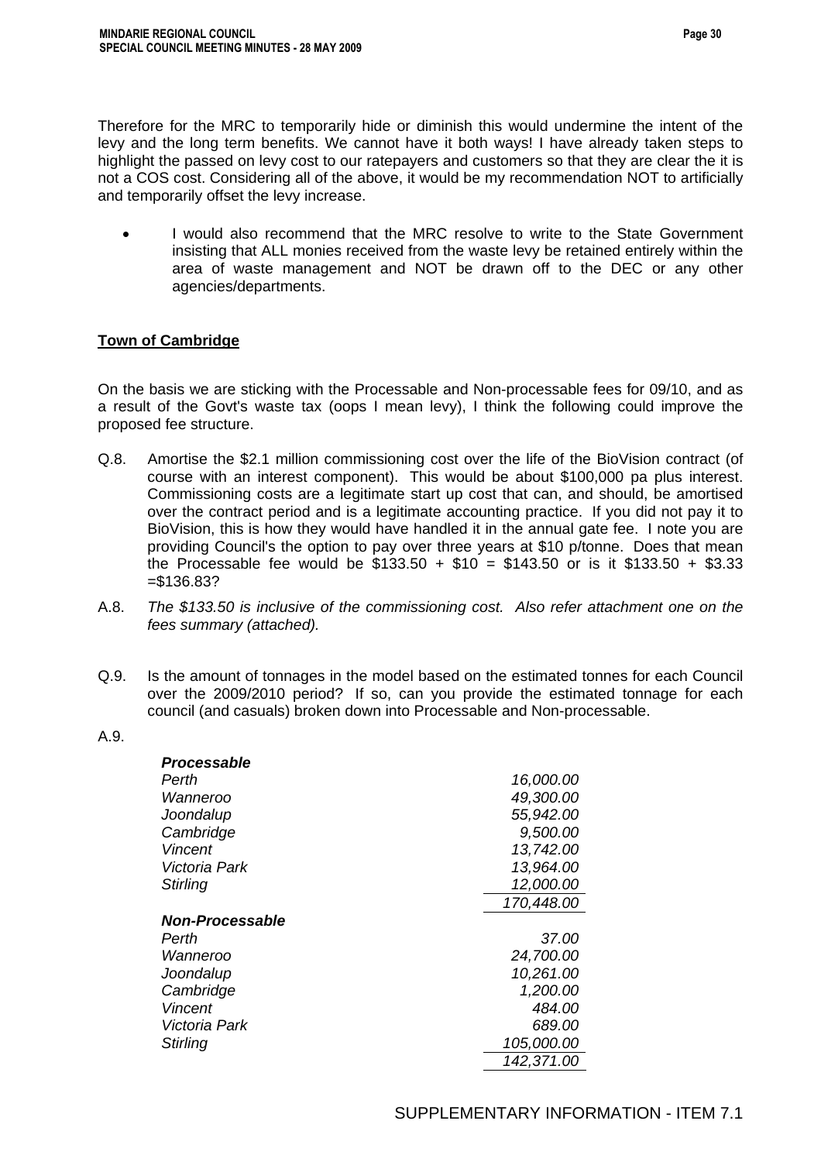Therefore for the MRC to temporarily hide or diminish this would undermine the intent of the levy and the long term benefits. We cannot have it both ways! I have already taken steps to highlight the passed on levy cost to our ratepayers and customers so that they are clear the it is not a COS cost. Considering all of the above, it would be my recommendation NOT to artificially and temporarily offset the levy increase.

I would also recommend that the MRC resolve to write to the State Government insisting that ALL monies received from the waste levy be retained entirely within the area of waste management and NOT be drawn off to the DEC or any other agencies/departments.

### **Town of Cambridge**

On the basis we are sticking with the Processable and Non-processable fees for 09/10, and as a result of the Govt's waste tax (oops I mean levy), I think the following could improve the proposed fee structure.

- Q.8. Amortise the \$2.1 million commissioning cost over the life of the BioVision contract (of course with an interest component). This would be about \$100,000 pa plus interest. Commissioning costs are a legitimate start up cost that can, and should, be amortised over the contract period and is a legitimate accounting practice. If you did not pay it to BioVision, this is how they would have handled it in the annual gate fee. I note you are providing Council's the option to pay over three years at \$10 p/tonne. Does that mean the Processable fee would be  $$133.50 + $10 = $143.50$  or is it \$133.50 + \$3.33 =\$136.83?
- A.8. *The \$133.50 is inclusive of the commissioning cost. Also refer attachment one on the fees summary (attached).*
- Q.9. Is the amount of tonnages in the model based on the estimated tonnes for each Council over the 2009/2010 period? If so, can you provide the estimated tonnage for each council (and casuals) broken down into Processable and Non-processable.
- A.9.

| Processable            |            |
|------------------------|------------|
| Perth                  | 16,000.00  |
| Wanneroo               | 49,300.00  |
| Joondalup              | 55,942.00  |
| Cambridge              | 9,500.00   |
| Vincent                | 13,742.00  |
| Victoria Park          | 13,964.00  |
| Stirling               | 12,000.00  |
|                        | 170,448.00 |
| <b>Non-Processable</b> |            |
| Perth                  | 37.00      |
| Wanneroo               | 24,700.00  |
| Joondalup              | 10,261.00  |
| Cambridge              | 1,200.00   |
| <b>Vincent</b>         | 484.00     |
| Victoria Park          | 689.00     |
| Stirling               | 105,000.00 |
|                        | 142,371.00 |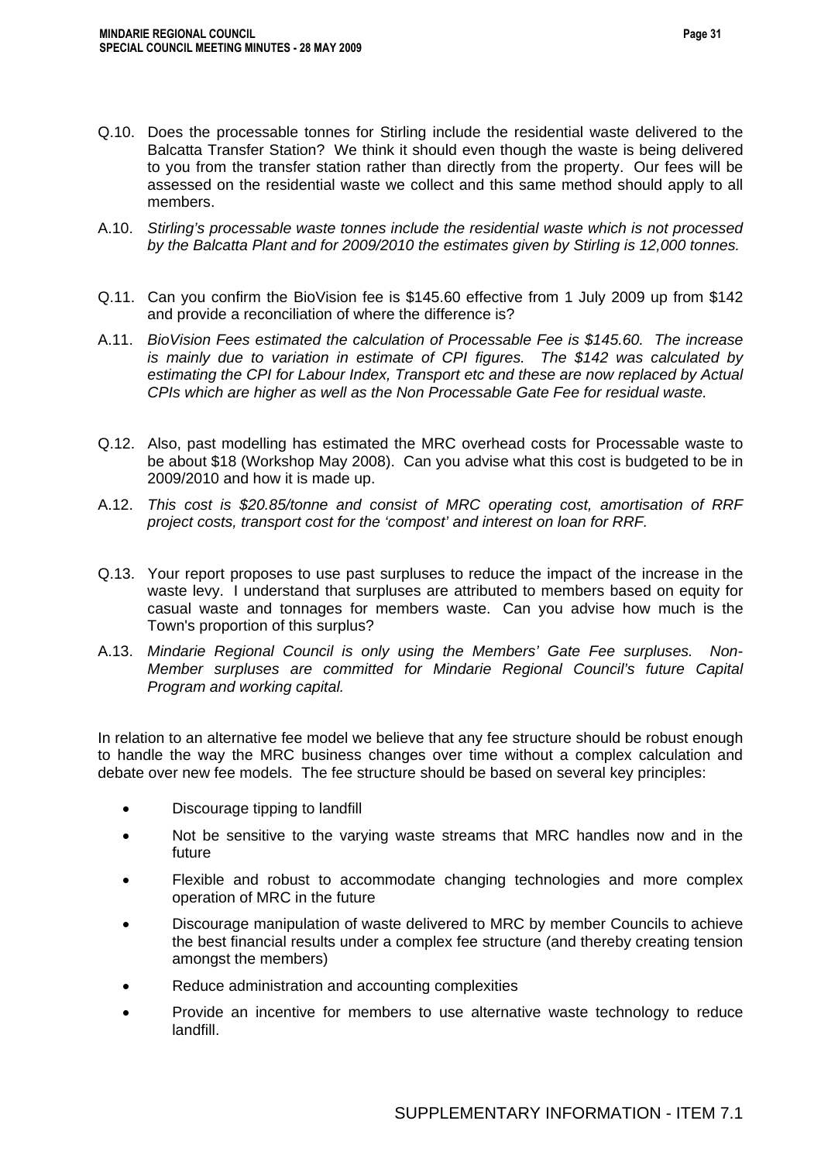- Q.10. Does the processable tonnes for Stirling include the residential waste delivered to the Balcatta Transfer Station? We think it should even though the waste is being delivered to you from the transfer station rather than directly from the property. Our fees will be assessed on the residential waste we collect and this same method should apply to all members.
- A.10. *Stirling's processable waste tonnes include the residential waste which is not processed by the Balcatta Plant and for 2009/2010 the estimates given by Stirling is 12,000 tonnes.*
- Q.11. Can you confirm the BioVision fee is \$145.60 effective from 1 July 2009 up from \$142 and provide a reconciliation of where the difference is?
- A.11. *BioVision Fees estimated the calculation of Processable Fee is \$145.60. The increase is mainly due to variation in estimate of CPI figures. The \$142 was calculated by estimating the CPI for Labour Index, Transport etc and these are now replaced by Actual CPIs which are higher as well as the Non Processable Gate Fee for residual waste.*
- Q.12. Also, past modelling has estimated the MRC overhead costs for Processable waste to be about \$18 (Workshop May 2008). Can you advise what this cost is budgeted to be in 2009/2010 and how it is made up.
- A.12. *This cost is \$20.85/tonne and consist of MRC operating cost, amortisation of RRF project costs, transport cost for the 'compost' and interest on loan for RRF.*
- Q.13. Your report proposes to use past surpluses to reduce the impact of the increase in the waste levy. I understand that surpluses are attributed to members based on equity for casual waste and tonnages for members waste. Can you advise how much is the Town's proportion of this surplus?
- A.13. *Mindarie Regional Council is only using the Members' Gate Fee surpluses. Non-Member surpluses are committed for Mindarie Regional Council's future Capital Program and working capital.*

In relation to an alternative fee model we believe that any fee structure should be robust enough to handle the way the MRC business changes over time without a complex calculation and debate over new fee models. The fee structure should be based on several key principles:

- Discourage tipping to landfill
- Not be sensitive to the varying waste streams that MRC handles now and in the future
- Flexible and robust to accommodate changing technologies and more complex operation of MRC in the future
- Discourage manipulation of waste delivered to MRC by member Councils to achieve the best financial results under a complex fee structure (and thereby creating tension amongst the members)
- Reduce administration and accounting complexities
- Provide an incentive for members to use alternative waste technology to reduce landfill.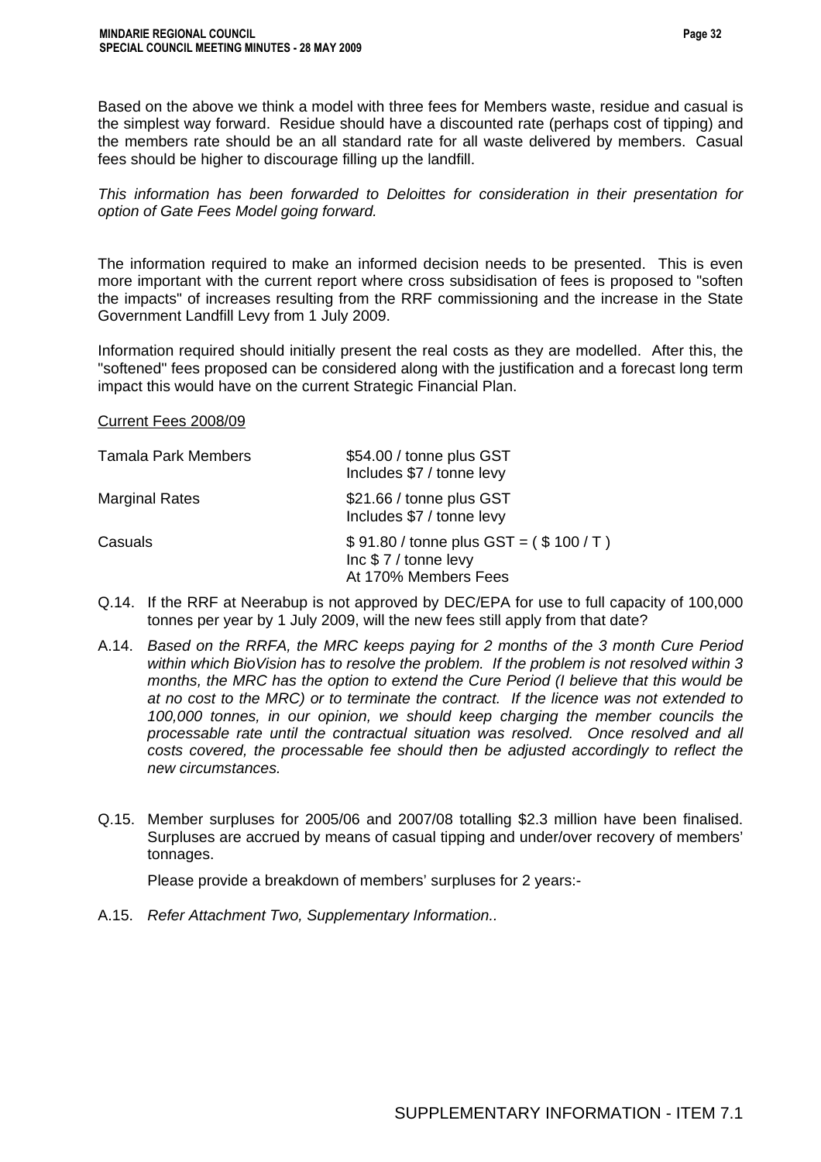Based on the above we think a model with three fees for Members waste, residue and casual is the simplest way forward. Residue should have a discounted rate (perhaps cost of tipping) and the members rate should be an all standard rate for all waste delivered by members. Casual fees should be higher to discourage filling up the landfill.

*This information has been forwarded to Deloittes for consideration in their presentation for option of Gate Fees Model going forward.* 

The information required to make an informed decision needs to be presented. This is even more important with the current report where cross subsidisation of fees is proposed to "soften the impacts" of increases resulting from the RRF commissioning and the increase in the State Government Landfill Levy from 1 July 2009.

Information required should initially present the real costs as they are modelled. After this, the "softened" fees proposed can be considered along with the justification and a forecast long term impact this would have on the current Strategic Financial Plan.

Current Fees 2008/09

| <b>Tamala Park Members</b> | \$54.00 / tonne plus GST<br>Includes \$7 / tonne levy                                  |
|----------------------------|----------------------------------------------------------------------------------------|
| <b>Marginal Rates</b>      | \$21.66 / tonne plus GST<br>Includes \$7 / tonne levy                                  |
| Casuals                    | $$91.80 / tonne plus GST = ($100 / T)$<br>Inc $$7/$ tonne levy<br>At 170% Members Fees |

- Q.14. If the RRF at Neerabup is not approved by DEC/EPA for use to full capacity of 100,000 tonnes per year by 1 July 2009, will the new fees still apply from that date?
- A.14. *Based on the RRFA, the MRC keeps paying for 2 months of the 3 month Cure Period within which BioVision has to resolve the problem. If the problem is not resolved within 3 months, the MRC has the option to extend the Cure Period (I believe that this would be at no cost to the MRC) or to terminate the contract. If the licence was not extended to 100,000 tonnes, in our opinion, we should keep charging the member councils the processable rate until the contractual situation was resolved. Once resolved and all costs covered, the processable fee should then be adjusted accordingly to reflect the new circumstances.*
- Q.15. Member surpluses for 2005/06 and 2007/08 totalling \$2.3 million have been finalised. Surpluses are accrued by means of casual tipping and under/over recovery of members' tonnages.

Please provide a breakdown of members' surpluses for 2 years:-

A.15. *Refer Attachment Two, Supplementary Information..*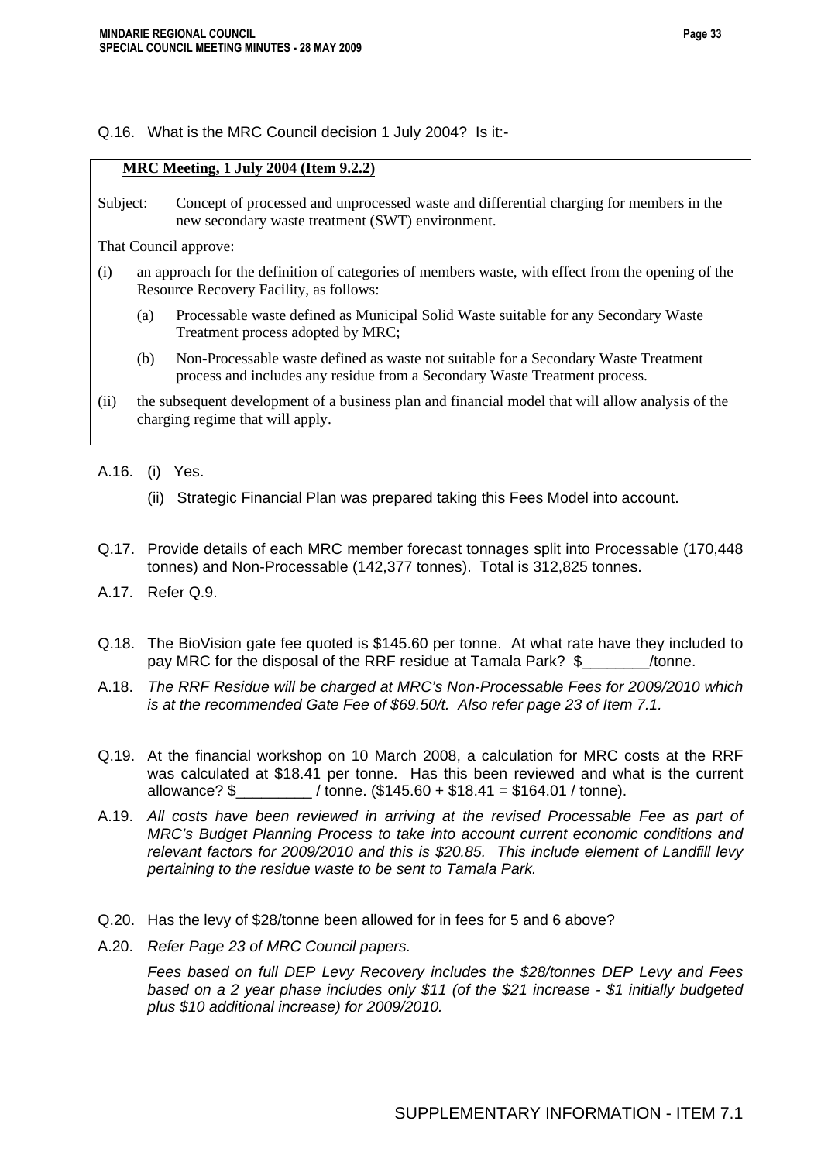### Q.16. What is the MRC Council decision 1 July 2004? Is it:-

### **MRC Meeting, 1 July 2004 (Item 9.2.2)**

Subject: Concept of processed and unprocessed waste and differential charging for members in the new secondary waste treatment (SWT) environment.

That Council approve:

- (i) an approach for the definition of categories of members waste, with effect from the opening of the Resource Recovery Facility, as follows:
	- (a) Processable waste defined as Municipal Solid Waste suitable for any Secondary Waste Treatment process adopted by MRC;
	- (b) Non-Processable waste defined as waste not suitable for a Secondary Waste Treatment process and includes any residue from a Secondary Waste Treatment process.
- (ii) the subsequent development of a business plan and financial model that will allow analysis of the charging regime that will apply.

A.16. (i) Yes.

- (ii) Strategic Financial Plan was prepared taking this Fees Model into account.
- Q.17. Provide details of each MRC member forecast tonnages split into Processable (170,448 tonnes) and Non-Processable (142,377 tonnes). Total is 312,825 tonnes.
- A.17. Refer Q.9.
- Q.18. The BioVision gate fee quoted is \$145.60 per tonne. At what rate have they included to pay MRC for the disposal of the RRF residue at Tamala Park? \$ /tonne.
- A.18. *The RRF Residue will be charged at MRC's Non-Processable Fees for 2009/2010 which is at the recommended Gate Fee of \$69.50/t. Also refer page 23 of Item 7.1.*
- Q.19. At the financial workshop on 10 March 2008, a calculation for MRC costs at the RRF was calculated at \$18.41 per tonne. Has this been reviewed and what is the current allowance? \$\_\_\_\_\_\_\_\_\_ / tonne. (\$145.60 + \$18.41 = \$164.01 / tonne).
- A.19. *All costs have been reviewed in arriving at the revised Processable Fee as part of MRC's Budget Planning Process to take into account current economic conditions and relevant factors for 2009/2010 and this is \$20.85. This include element of Landfill levy pertaining to the residue waste to be sent to Tamala Park.*
- Q.20. Has the levy of \$28/tonne been allowed for in fees for 5 and 6 above?
- A.20. *Refer Page 23 of MRC Council papers.*

 *Fees based on full DEP Levy Recovery includes the \$28/tonnes DEP Levy and Fees based on a 2 year phase includes only \$11 (of the \$21 increase - \$1 initially budgeted plus \$10 additional increase) for 2009/2010.*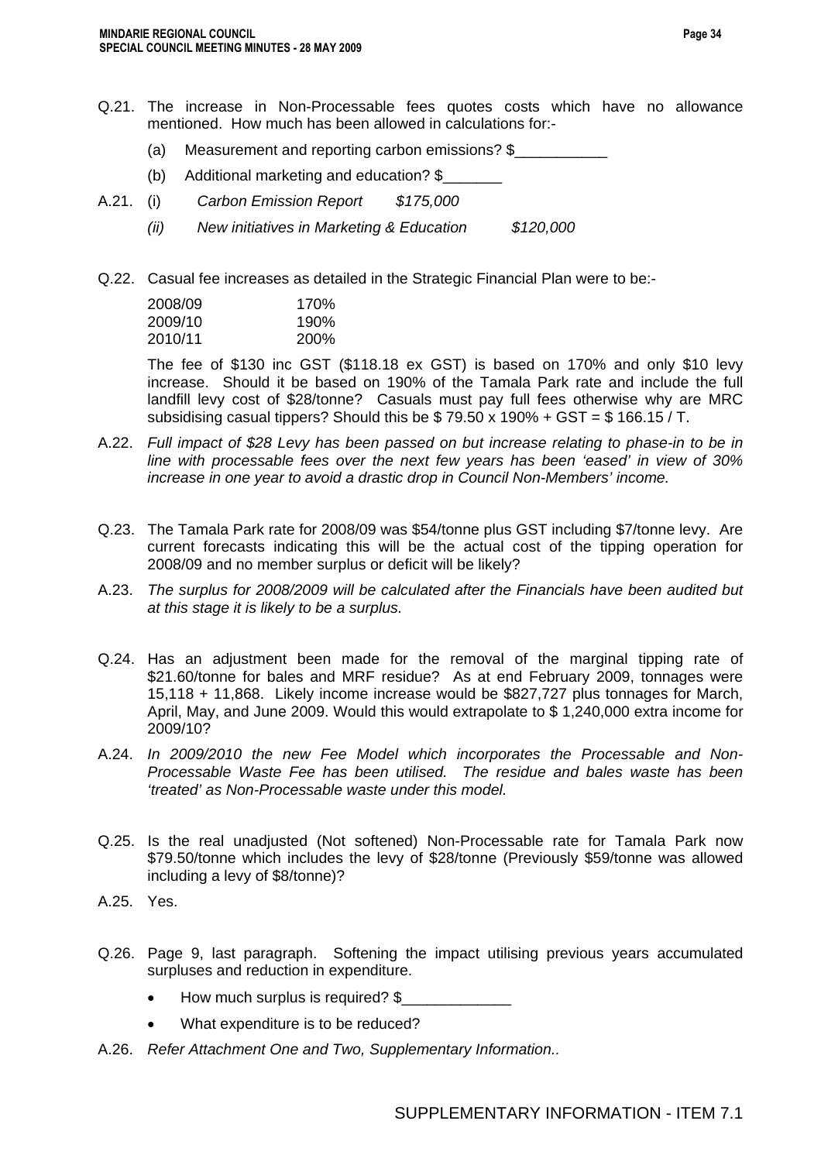- Q.21. The increase in Non-Processable fees quotes costs which have no allowance mentioned. How much has been allowed in calculations for:-
	- (a) Measurement and reporting carbon emissions? \$
	- (b) Additional marketing and education? \$\_\_\_\_\_\_\_
- A.21. (i) *Carbon Emission Report \$175,000* 
	- *(ii) New initiatives in Marketing & Education \$120,000*
- Q.22. Casual fee increases as detailed in the Strategic Financial Plan were to be:-

| 170%        |
|-------------|
| 190%        |
| <b>200%</b> |
|             |

The fee of \$130 inc GST (\$118.18 ex GST) is based on 170% and only \$10 levy increase. Should it be based on 190% of the Tamala Park rate and include the full landfill levy cost of \$28/tonne? Casuals must pay full fees otherwise why are MRC subsidising casual tippers? Should this be  $$79.50 \times 190\% + GST = $166.15 / T$ .

- A.22. *Full impact of \$28 Levy has been passed on but increase relating to phase-in to be in line with processable fees over the next few years has been 'eased' in view of 30% increase in one year to avoid a drastic drop in Council Non-Members' income.*
- Q.23. The Tamala Park rate for 2008/09 was \$54/tonne plus GST including \$7/tonne levy. Are current forecasts indicating this will be the actual cost of the tipping operation for 2008/09 and no member surplus or deficit will be likely?
- A.23. *The surplus for 2008/2009 will be calculated after the Financials have been audited but at this stage it is likely to be a surplus.*
- Q.24. Has an adjustment been made for the removal of the marginal tipping rate of \$21.60/tonne for bales and MRF residue? As at end February 2009, tonnages were 15,118 + 11,868. Likely income increase would be \$827,727 plus tonnages for March, April, May, and June 2009. Would this would extrapolate to \$ 1,240,000 extra income for 2009/10?
- A.24. *In 2009/2010 the new Fee Model which incorporates the Processable and Non-Processable Waste Fee has been utilised. The residue and bales waste has been 'treated' as Non-Processable waste under this model.*
- Q.25. Is the real unadjusted (Not softened) Non-Processable rate for Tamala Park now \$79.50/tonne which includes the levy of \$28/tonne (Previously \$59/tonne was allowed including a levy of \$8/tonne)?
- A.25. Yes.
- Q.26. Page 9, last paragraph. Softening the impact utilising previous years accumulated surpluses and reduction in expenditure.
	- How much surplus is required? \$
	- What expenditure is to be reduced?
- A.26. *Refer Attachment One and Two, Supplementary Information..*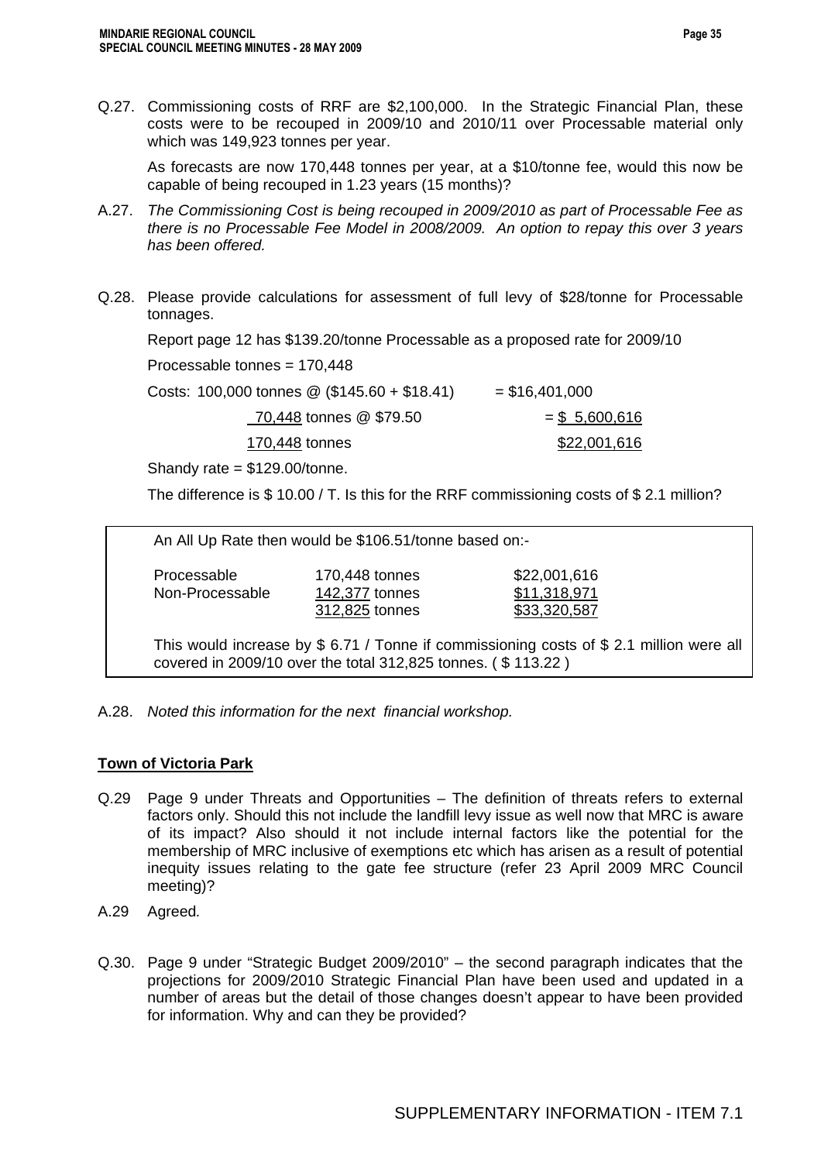Q.27. Commissioning costs of RRF are \$2,100,000. In the Strategic Financial Plan, these costs were to be recouped in 2009/10 and 2010/11 over Processable material only which was 149,923 tonnes per year.

As forecasts are now 170,448 tonnes per year, at a \$10/tonne fee, would this now be capable of being recouped in 1.23 years (15 months)?

- A.27. *The Commissioning Cost is being recouped in 2009/2010 as part of Processable Fee as there is no Processable Fee Model in 2008/2009. An option to repay this over 3 years has been offered.*
- Q.28. Please provide calculations for assessment of full levy of \$28/tonne for Processable tonnages.

Report page 12 has \$139.20/tonne Processable as a proposed rate for 2009/10

Processable tonnes = 170,448

| Costs: 100,000 tonnes $\textcircled{2}$ (\$145.60 + \$18.41) | $=$ \$16,401,000 |
|--------------------------------------------------------------|------------------|
| 70,448 tonnes @ \$79.50                                      | $=$ \$ 5,600,616 |
| 170,448 tonnes                                               | \$22,001,616     |

Shandy rate = \$129.00/tonne.

The difference is \$ 10.00 / T. Is this for the RRF commissioning costs of \$ 2.1 million?

An All Up Rate then would be \$106.51/tonne based on:-

Processable 170,448 tonnes \$22,001,616 Non-Processable 142,377 tonnes \$11,318,971

312,825 tonnes \$33,320,587

This would increase by \$ 6.71 / Tonne if commissioning costs of \$ 2.1 million were all covered in 2009/10 over the total 312,825 tonnes. ( \$ 113.22 )

A.28. *Noted this information for the next financial workshop.* 

### **Town of Victoria Park**

- Q.29 Page 9 under Threats and Opportunities The definition of threats refers to external factors only. Should this not include the landfill levy issue as well now that MRC is aware of its impact? Also should it not include internal factors like the potential for the membership of MRC inclusive of exemptions etc which has arisen as a result of potential inequity issues relating to the gate fee structure (refer 23 April 2009 MRC Council meeting)?
- A.29 Agreed*.*
- Q.30. Page 9 under "Strategic Budget 2009/2010" the second paragraph indicates that the projections for 2009/2010 Strategic Financial Plan have been used and updated in a number of areas but the detail of those changes doesn't appear to have been provided for information. Why and can they be provided?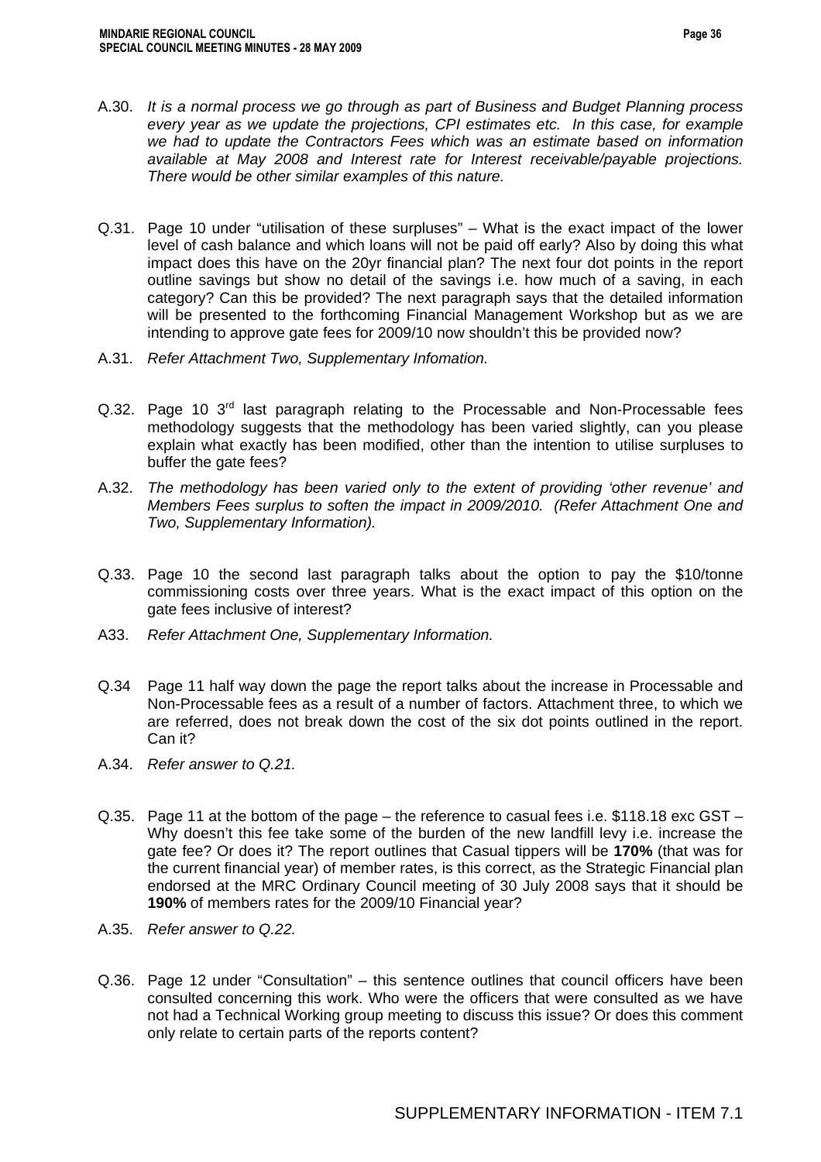- A.30. *It is a normal process we go through as part of Business and Budget Planning process every year as we update the projections, CPI estimates etc. In this case, for example we had to update the Contractors Fees which was an estimate based on information available at May 2008 and Interest rate for Interest receivable/payable projections. There would be other similar examples of this nature.*
- Q.31. Page 10 under "utilisation of these surpluses" What is the exact impact of the lower level of cash balance and which loans will not be paid off early? Also by doing this what impact does this have on the 20yr financial plan? The next four dot points in the report outline savings but show no detail of the savings i.e. how much of a saving, in each category? Can this be provided? The next paragraph says that the detailed information will be presented to the forthcoming Financial Management Workshop but as we are intending to approve gate fees for 2009/10 now shouldn't this be provided now?
- A.31. *Refer Attachment Two, Supplementary Infomation.*
- Q.32. Page 10 3<sup>rd</sup> last paragraph relating to the Processable and Non-Processable fees methodology suggests that the methodology has been varied slightly, can you please explain what exactly has been modified, other than the intention to utilise surpluses to buffer the gate fees?
- A.32. *The methodology has been varied only to the extent of providing 'other revenue' and Members Fees surplus to soften the impact in 2009/2010. (Refer Attachment One and Two, Supplementary Information).*
- Q.33. Page 10 the second last paragraph talks about the option to pay the \$10/tonne commissioning costs over three years. What is the exact impact of this option on the gate fees inclusive of interest?
- A33. *Refer Attachment One, Supplementary Information.*
- Q.34 Page 11 half way down the page the report talks about the increase in Processable and Non-Processable fees as a result of a number of factors. Attachment three, to which we are referred, does not break down the cost of the six dot points outlined in the report. Can it?
- A.34. *Refer answer to Q.21.*
- Q.35. Page 11 at the bottom of the page the reference to casual fees i.e. \$118.18 exc GST Why doesn't this fee take some of the burden of the new landfill levy i.e. increase the gate fee? Or does it? The report outlines that Casual tippers will be **170%** (that was for the current financial year) of member rates, is this correct, as the Strategic Financial plan endorsed at the MRC Ordinary Council meeting of 30 July 2008 says that it should be **190%** of members rates for the 2009/10 Financial year?
- A.35. *Refer answer to Q.22.*
- Q.36. Page 12 under "Consultation" this sentence outlines that council officers have been consulted concerning this work. Who were the officers that were consulted as we have not had a Technical Working group meeting to discuss this issue? Or does this comment only relate to certain parts of the reports content?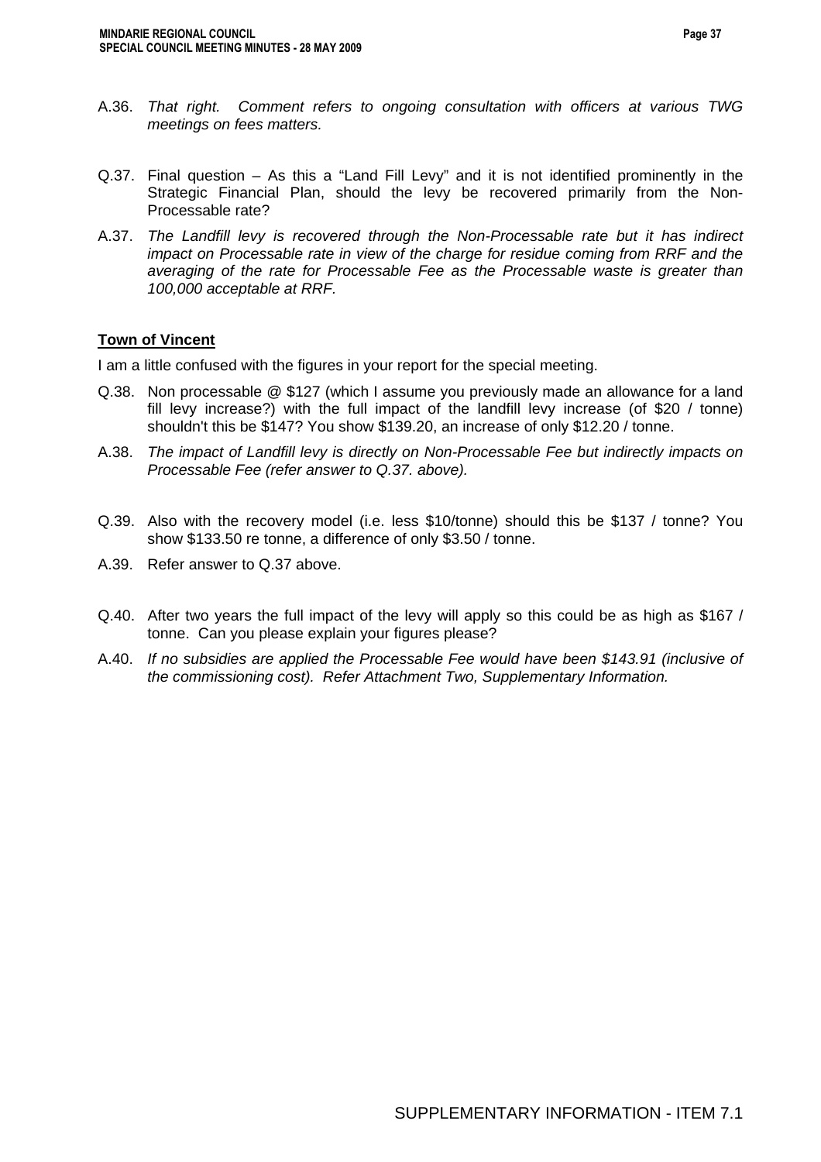- A.36. *That right. Comment refers to ongoing consultation with officers at various TWG meetings on fees matters.*
- Q.37. Final question As this a "Land Fill Levy" and it is not identified prominently in the Strategic Financial Plan, should the levy be recovered primarily from the Non-Processable rate?
- A.37. *The Landfill levy is recovered through the Non-Processable rate but it has indirect impact on Processable rate in view of the charge for residue coming from RRF and the averaging of the rate for Processable Fee as the Processable waste is greater than 100,000 acceptable at RRF.*

### **Town of Vincent**

I am a little confused with the figures in your report for the special meeting.

- Q.38. Non processable @ \$127 (which I assume you previously made an allowance for a land fill levy increase?) with the full impact of the landfill levy increase (of \$20 / tonne) shouldn't this be \$147? You show \$139.20, an increase of only \$12.20 / tonne.
- A.38. *The impact of Landfill levy is directly on Non-Processable Fee but indirectly impacts on Processable Fee (refer answer to Q.37. above).*
- Q.39. Also with the recovery model (i.e. less \$10/tonne) should this be \$137 / tonne? You show \$133.50 re tonne, a difference of only \$3.50 / tonne.
- A.39. Refer answer to Q.37 above.
- Q.40. After two years the full impact of the levy will apply so this could be as high as \$167 / tonne. Can you please explain your figures please?
- A.40. *If no subsidies are applied the Processable Fee would have been \$143.91 (inclusive of the commissioning cost). Refer Attachment Two, Supplementary Information.*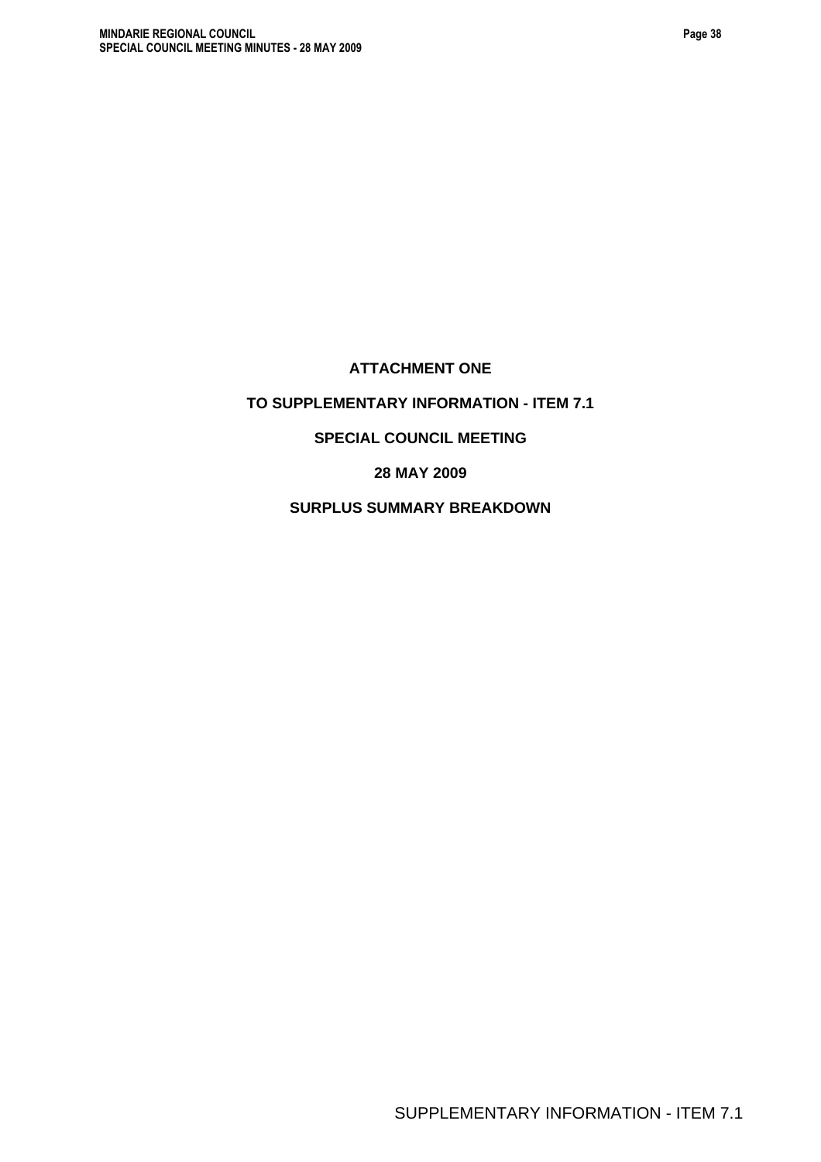# **ATTACHMENT ONE**

# **TO SUPPLEMENTARY INFORMATION - ITEM 7.1**

### **SPECIAL COUNCIL MEETING**

**28 MAY 2009** 

**SURPLUS SUMMARY BREAKDOWN**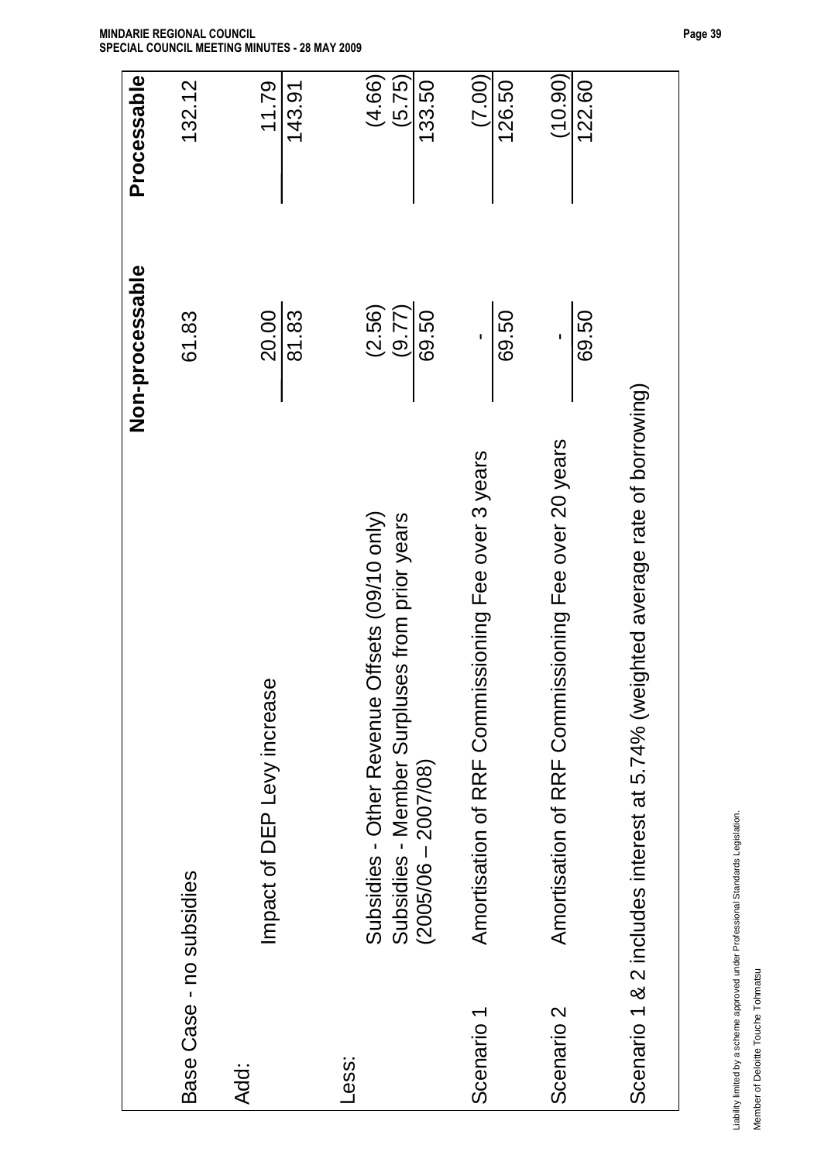|                          |                                                                                                                             | Non-processable           | Processable                |
|--------------------------|-----------------------------------------------------------------------------------------------------------------------------|---------------------------|----------------------------|
| Base Case - no subsidies |                                                                                                                             | 61.83                     | 132.12                     |
| Add:                     | Φ<br>Impact of DEP Levy increaso                                                                                            | 20.00<br>81.83            | 11.79<br>143.91            |
| Less:                    | Offsets (09/10 only)<br>Subsidies - Member Surpluses from prior years<br>Subsidies - Other Revenue<br>$(2005/06 - 2007/08)$ | (2.56)<br>(9.77)<br>69.50 | (5.75)<br>(4.66)<br>133.50 |
| Scenario 1               | Amortisation of RRF Commissioning Fee over 3 years                                                                          | 69.50<br>٠                | (7.00)<br>126.50           |
| Scenario <sub>2</sub>    | Amortisation of RRF Commissioning Fee over 20 years                                                                         | 69.50                     | (10.90)<br>122.60          |
|                          | Scenario 1 & 2 includes interest at 5.74% (weighted average rate of borrowing)                                              |                           |                            |

Liability limited by a scheme approved under Professional Standards Legislation. Liability limited by a scheme approved under Professional Standards Legislation.

Member of Deloitte Touche Tohmatsu Member of Deloitte Touche Tohmatsu

**MINDARIE REGIONAL COUNCIL SPECIAL COUNCIL MEETING MINUTES - 28 MAY 2009**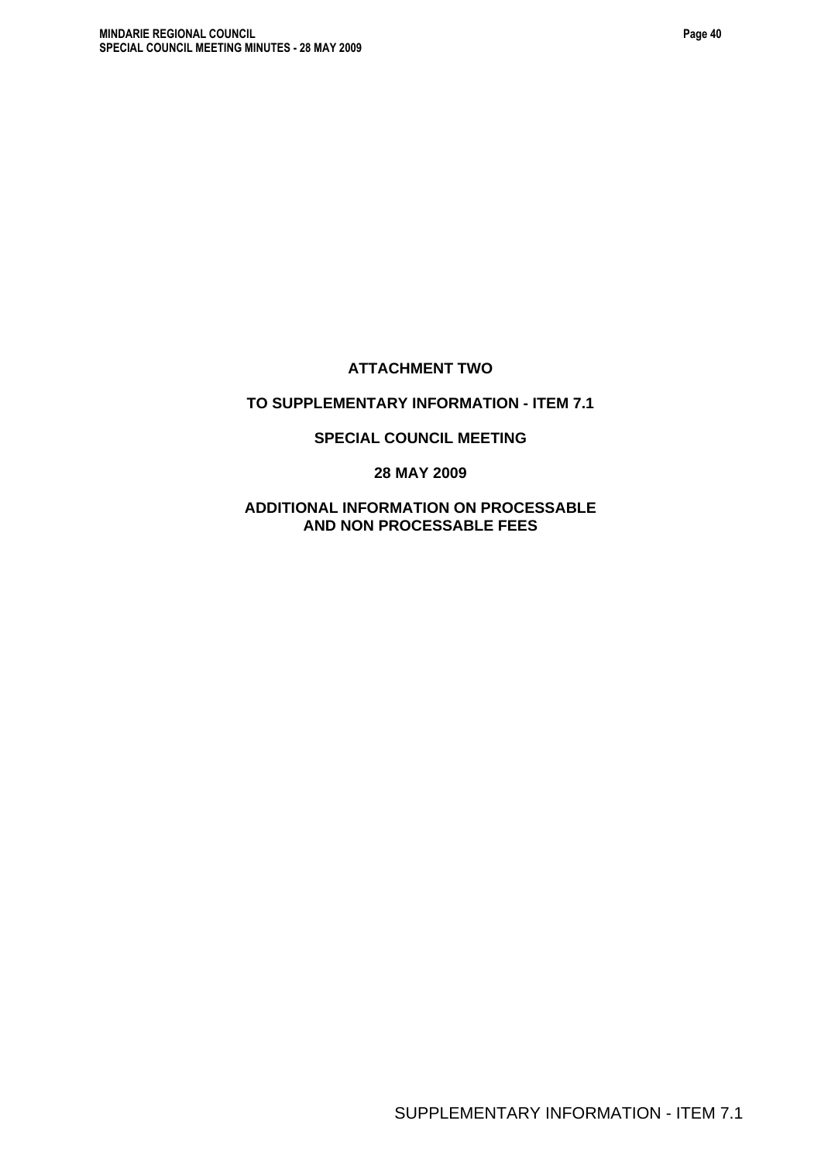# **ATTACHMENT TWO**

# **TO SUPPLEMENTARY INFORMATION - ITEM 7.1**

### **SPECIAL COUNCIL MEETING**

### **28 MAY 2009**

### **ADDITIONAL INFORMATION ON PROCESSABLE AND NON PROCESSABLE FEES**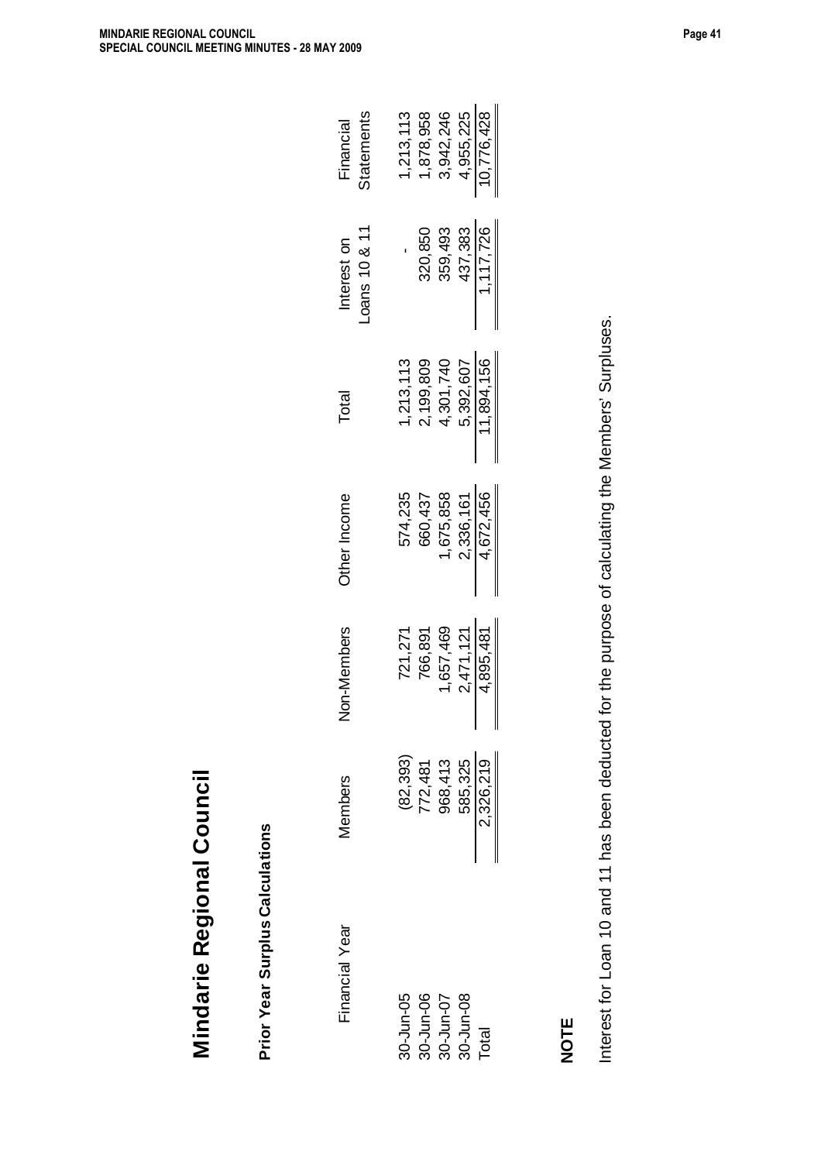| Financial Year                                   | <b>Aembers</b>                                                         | on-Members<br>Ź               | Other Income                  | Total                   | $-0$ ans 10 & 11<br>Interest on | <b>Statements</b><br>Financial |
|--------------------------------------------------|------------------------------------------------------------------------|-------------------------------|-------------------------------|-------------------------|---------------------------------|--------------------------------|
|                                                  |                                                                        | 721,271                       | 574,235                       | 1,213,113               |                                 | 1,213,113                      |
|                                                  |                                                                        | 766,891                       | 660,437                       | 2,199,809               | 320,850                         | 1,878,958                      |
| 30-Jun-05<br>30-Jun-06<br>30-Jun-07<br>30-Jun-08 |                                                                        | 1,657,469                     | 1,675,858                     | 4,301,740               | 359,493                         | 3,942,246                      |
|                                                  |                                                                        |                               |                               |                         |                                 |                                |
| Total                                            | $(82, 393)$<br>$772, 481$<br>$968, 413$<br>$585, 325$<br>$2, 326, 219$ | $\frac{2,471,121}{4,895,481}$ | $\frac{2,336,161}{4,672,456}$ | 5,392,607<br>11,894,156 | $\frac{437,383}{1,117,726}$     | $\frac{4,955,225}{10,776,428}$ |
|                                                  |                                                                        |                               |                               |                         |                                 |                                |
|                                                  |                                                                        |                               |                               |                         |                                 |                                |

**NOTE** 

Interest for Loan 10 and 11 has been deducted for the purpose of calculating the Members' Surpluses. Interest for Loan 10 and 11 has been deducted for the purpose of calculating the Members' Surpluses.

**Mindarie Regional Council**

Mindarie Regional Council

**Prior Year Surplus Calculations**

Prior Year Surplus Calculations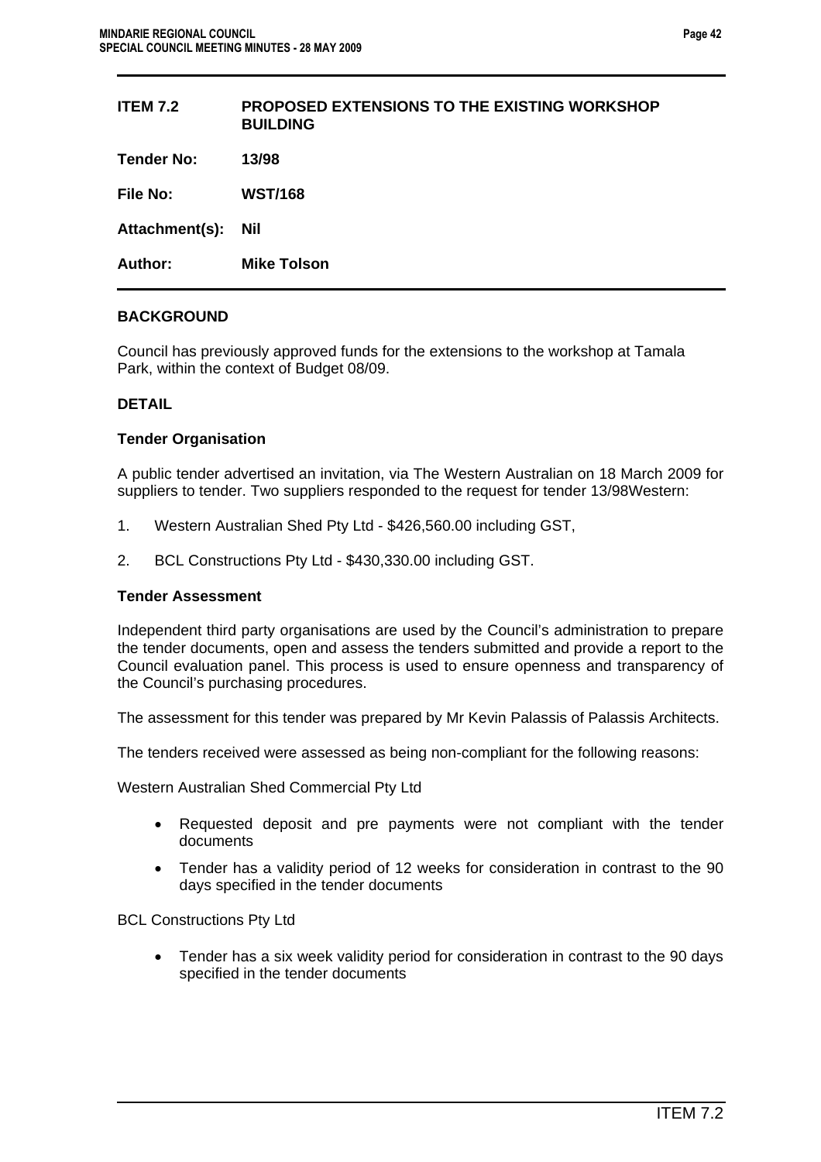| <b>PROPOSED EXTENSIONS TO THE EXISTING WORKSHOP</b><br><b>BUILDING</b> |
|------------------------------------------------------------------------|
| 13/98                                                                  |
| <b>WST/168</b>                                                         |
| Nil                                                                    |
| <b>Mike Tolson</b>                                                     |
|                                                                        |

### **BACKGROUND**

Council has previously approved funds for the extensions to the workshop at Tamala Park, within the context of Budget 08/09.

### **DETAIL**

### **Tender Organisation**

A public tender advertised an invitation, via The Western Australian on 18 March 2009 for suppliers to tender. Two suppliers responded to the request for tender 13/98Western:

- 1. Western Australian Shed Pty Ltd \$426,560.00 including GST,
- 2. BCL Constructions Pty Ltd \$430,330.00 including GST.

### **Tender Assessment**

Independent third party organisations are used by the Council's administration to prepare the tender documents, open and assess the tenders submitted and provide a report to the Council evaluation panel. This process is used to ensure openness and transparency of the Council's purchasing procedures.

The assessment for this tender was prepared by Mr Kevin Palassis of Palassis Architects.

The tenders received were assessed as being non-compliant for the following reasons:

Western Australian Shed Commercial Pty Ltd

- Requested deposit and pre payments were not compliant with the tender documents
- Tender has a validity period of 12 weeks for consideration in contrast to the 90 days specified in the tender documents

BCL Constructions Pty Ltd

• Tender has a six week validity period for consideration in contrast to the 90 days specified in the tender documents